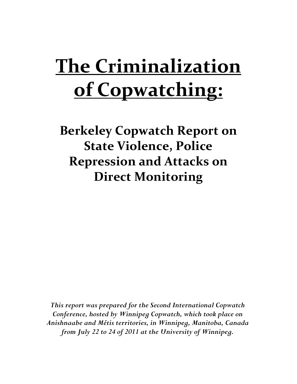# **The Criminalization of Copwatching:**

**Berkeley Copwatch Report on State Violence, Police Repression and Attacks on Direct Monitoring**

*This report was prepared for the Second International Copwatch Conference, hosted by Winnipeg Copwatch, which took place on Anishnaabe and Métis territories, in Winnipeg, Manitoba, Canada from July 22 to 24 of 2011 at the University of Winnipeg.*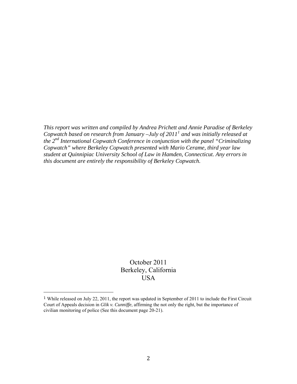*This report was written and compiled by Andrea Prichett and Annie Paradise of Berkeley Copwatch based on research from January –July of 2011[1](#page-3-0) and was initially released at the 2nd International Copwatch Conference in conjunction with the panel "Criminalizing Copwatch" where Berkeley Copwatch presented with Mario Cerame, third year law student at Quinnipiac University School of Law in Hamden, Connecticut. Any errors in this document are entirely the responsibility of Berkeley Copwatch.*

# October 2011 Berkeley, California USA

 $\overline{a}$ 

 $\overline{a}$ 

<span id="page-1-0"></span><sup>1</sup> While released on July 22, 2011, the report was updated in September of 2011 to include the First Circuit Court of Appeals decision in *Glik v. Cunniffe*, affirming the not only the right, but the importance of civilian monitoring of police (See this document page 20-21).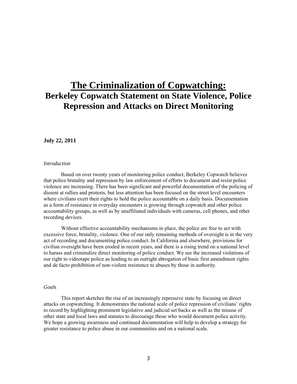# **The Criminalization of Copwatching: Berkeley Copwatch Statement on State Violence, Police Repression and Attacks on Direct Monitoring**

#### **July 22, 2011**

#### *Introduction*

Based on over twenty years of monitoring police conduct, Berkeley Copwatch believes that police brutality and repression by law enforcement of efforts to document and resist police violence are increasing. There has been significant and powerful documentation of the policing of dissent at rallies and protests, but less attention has been focused on the street level encounters where civilians exert their rights to hold the police accountable on a daily basis. Documentation as a form of resistance in everyday encounters is growing through copwatch and other police accountability groups, as well as by unaffiliated individuals with cameras, cell phones, and other recording devices.

Without effective accountability mechanisms in place, the police are free to act with excessive force, brutality, violence. One of our only remaining methods of oversight is in the very act of recording and documenting police conduct. In California and elsewhere, provisions for civilian oversight have been eroded in recent years, and there is a rising trend on a national level to harass and criminalize direct monitoring of police conduct. We see the increased violations of our right to videotape police as leading to an outright abrogation of basic first amendment rights and de facto prohibition of non-violent resistence to abuses by those in authority.

#### *Goals*

This report sketches the rise of an increasingly repressive state by focusing on direct attacks on copwatching. It demonstrates the national scale of police repression of civilians' rights to record by highlighting prominent legislative and judicial set backs as well as the misuse of other state and local laws and statutes to discourage those who would document police activity. We hope a growing awareness and continued documentation will help to develop a strategy for greater resistance to police abuse in our communities and on a national scale.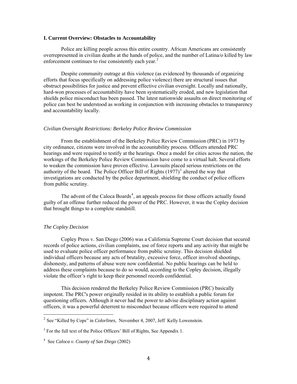#### **I. Current Overview: Obstacles to Accountability**

Police are killing people across this entire country. African Americans are consistently overrepresented in civilian deaths at the hands of police, and the number of Latina/o killed by law enforcement continues to rise consistently each year.<sup>[2](#page-1-0)</sup>

Despite community outrage at this violence (as evidenced by thousands of organizing efforts that focus specifically on addressing police violence) there are structural issues that obstruct possibilities for justice and prevent effective civilian oversight. Locally and nationally, hard-won processes of accountability have been systematically eroded, and new legislation that shields police misconduct has been passed. The latest nationwide assaults on direct monitoring of police can best be understood as working in conjunction with increasing obstacles to transparency and accountability locally.

# *Civilian Oversight Restrictions: Berkeley Police Review Commission*

From the establishment of the Berkeley Police Review Commission (PRC) in 1973 by city ordinance, citizens were involved in the accountability process. Officers attended PRC hearings and were required to testify at the hearings. Once a model for cities across the nation, the workings of the Berkeley Police Review Commission have come to a virtual halt. Several efforts to weaken the commission have proven effective. Lawsuits placed serious restrictions on the authority of the board. The Police Officer Bill of Rights  $(1977)^3$  $(1977)^3$  altered the way that investigations are conducted by the police department, shielding the conduct of police officers from public scrutiny.

The advent of the Caloca Boards<sup>[4](#page-3-2)</sup>, an appeals process for those officers actually found guilty of an offense further reduced the power of the PRC. However, it was the Copley decision that brought things to a complete standstill.

# *The Copley Decision*

 $\overline{a}$ 

Copley Press v. San Diego (2006) was a California Supreme Court decision that secured records of police actions, civilian complaints, use of force reports and any activity that might be used to evaluate police officer performance from public scrutiny. This decision shielded individual officers because any acts of brutality, excessive force, officer involved shootings, dishonesty, and patterns of abuse were now confidential. No public hearings can be held to address these complaints because to do so would, according to the Copley decision, illegally violate the officer's right to keep their personnel records confidential.

<span id="page-3-0"></span>This decision rendered the Berkeley Police Review Commission (PRC) basically impotent. The PRC's power originally resided in its ability to establish a public forum for questioning officers. Although it never had the power to advise disciplinary action against officers, it was a powerful deterrent to misconduct because officers were required to attend

<span id="page-3-3"></span><sup>2</sup> See "Killed by Cops" in *Colorlines*, November 4, 2007, Jeff Kelly Lowenstein.

<span id="page-3-1"></span><sup>&</sup>lt;sup>3</sup> For the full text of the Police Officers' Bill of Rights, See Appendix 1.

<span id="page-3-2"></span><sup>4</sup> See *Caloca v. County of San Diego* (2002)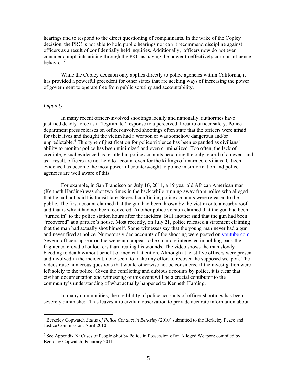hearings and to respond to the direct questioning of complainants. In the wake of the Copley decision, the PRC is not able to hold public hearings nor can it recommend discipline against officers as a result of confidentially held inquiries. Additionally, officers now do not even consider complaints arising through the PRC as having the power to effectively curb or influence behavior $5$ 

While the Copley decision only applies directly to police agencies within California, it has provided a powerful precedent for other states that are seeking ways of increasing the power of government to operate free from public scrutiny and accountability.

# *Impunity*

 $\overline{a}$ 

In many recent officer-involved shootings locally and nationally, authorities have justified deadly force as a "legitimate" response to a perceived threat to officer safety. Police department press releases on officer-involved shootings often state that the officers were afraid for their lives and thought the victim had a weapon or was somehow dangerous and/or unpredictable.<sup>[6](#page-4-0)</sup> This type of justification for police violence has been expanded as civilians' ability to monitor police has been minimized and even criminalized. Too often, the lack of credible, visual evidence has resulted in police accounts becoming the only record of an event and as a result, officers are not held to account even for the killings of unarmed civilians. Citizen evidence has become the most powerful counterweight to police misinformation and police agencies are well aware of this.

For example, in San Francisco on July 16, 2011, a 19 year old African American man (Kenneth Harding) was shot two times in the back while running away from police who alleged that he had not paid his transit fare. Several conflicting police accounts were released to the public. The first account claimed that the gun had been thrown by the victim onto a nearby roof and that is why it had not been recovered. Another police version claimed that the gun had been "turned in" to the police station hours after the incident. Still another said that the gun had been "recovered" at a parolee's house. Most recently, on July 21, police released a statement claiming that the man had actually shot himself. Some witnesses say that the young man never had a gun and never fired at police. Numerous video accounts of the shooting were posted on [youtube.com.](http://www.youtube.com/) Several officers appear on the scene and appear to be so more interested in holding back the frightened crowd of onlookers than treating his wounds. The video shows the man slowly bleeding to death without benefit of medical attention. Although at least five officers were present and involved in the incident, none seem to make any effort to recover the supposed weapon. The videos raise numerous questions that would otherwise not be considered if the investigation were left solely to the police. Given the conflicting and dubious accounts by police, it is clear that civilian documentation and witnessing of this event will be a crucial contibutor to the community's understanding of what actually happened to Kenneth Harding.

<span id="page-4-1"></span>In many communities, the credibility of police accounts of officer shootings has been severely diminished. This leaves it to civilian observation to provide accurate information about

<sup>5</sup> Berkeley Copwatch *Status of Police Conduct in Berkeley* (2010) submitted to the Berkeley Peace and Justice Commission; April 2010

<span id="page-4-0"></span><sup>&</sup>lt;sup>6</sup> See Appendix X: Cases of People Shot by Police in Possession of an Alleged Weapon; compiled by Berkeley Copwatch, Feburary 2011.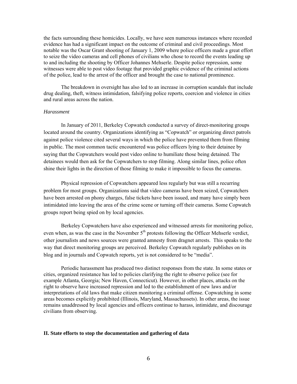the facts surrounding these homicides. Locally, we have seen numerous instances where recorded evidence has had a significant impact on the outcome of criminal and civil proceedings. Most notable was the Oscar Grant shooting of January 1, 2009 where police officers made a great effort to seize the video cameras and cell phones of civilians who chose to record the events leading up to and including the shooting by Officer Johannes Mehserle. Despite police repression, some witnesses were able to post video footage that provided graphic evidence of the criminal actions of the police, lead to the arrest of the officer and brought the case to national prominence.

The breakdown in oversight has also led to an increase in corruption scandals that include drug dealing, theft, witness intimidation, falsifying police reports, coercion and violence in cities and rural areas across the nation.

# *Harassment*

In January of 2011, Berkeley Copwatch conducted a survey of direct-monitoring groups located around the country. Organizations identifying as "Copwatch" or organizing direct patrols against police violence cited several ways in which the police have prevented them from filming in public. The most common tactic encountered was police officers lying to their detainee by saying that the Copwatchers would post video online to humiliate those being detained. The detainees would then ask for the Copwatchers to stop filming. Along similar lines, police often shine their lights in the direction of those filming to make it impossible to focus the cameras.

Physical repression of Copwatchers appeared less regularly but was still a recurring problem for most groups. Organizations said that video cameras have been seized, Copwatchers have been arrested on phony charges, false tickets have been issued, and many have simply been intimidated into leaving the area of the crime scene or turning off their cameras. Some Copwatch groups report being spied on by local agencies.

Berkeley Copwatchers have also experienced and witnessed arrests for monitoring police, even when, as was the case in the November  $5<sup>th</sup>$  protests following the Officer Mehserle verdict, other journalists and news sources were granted amnesty from dragnet arrests. This speaks to the way that direct monitoring groups are perceived. Berkeley Copwatch regularly publishes on its blog and in journals and Copwatch reports, yet is not considered to be "media".

Periodic harassment has produced two distinct responses from the state. In some states or cities, organized resistance has led to policies clarifying the right to observe police (see for example Atlanta, Georgia; New Haven, Connecticut). However, in other places, attacks on the right to observe have increased repression and led to the establishment of new laws and/or interpretations of old laws that make citizen monitoring a criminal offense. Copwatching in some areas becomes explicitly prohibited (Illinois, Maryland, Massachussets). In other areas, the issue remains unaddressed by local agencies and officers continue to harass, intimidate, and discourage civilians from observing.

# **II. State efforts to stop the documentation and gathering of data**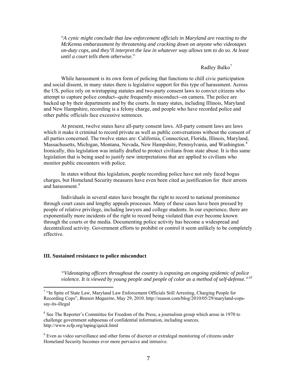"*A cynic might conclude that law enforcement officials in Maryland are reacting to the McKenna embarassment by threatening and cracking down on anyone who videotapes on-duty cops, and they'll interpret the law in whatever way allows tem to do so. At least until a court tells them otherwise.*"

 $Radley$  Balko<sup>[7](#page-4-1)</sup>

While harassment is its own form of policing that functions to chill civic participation and social dissent, in many states there is legislative support for this type of harassment. Across the US, police rely on wiretapping statutes and two-party consent laws to convict citizens who attempt to capture police conduct--quite frequently misconduct--on camera. The police are backed up by their departments and by the courts. In many states, including Illinois, Maryland and New Hampshire, recording is a felony charge, and people who have recorded police and other public officials face excessive sentences.

At present, twelve states have all-party consent laws. All-party consent laws are laws which it make it criminal to record private as well as public conversations without the consent of all parties concerned. The twelve states are: California, Connecticut, Florida, Illinois, Maryland, Massachusetts, Michigan, Montana, Nevada, New Hampshire, Pennsylvania, and Washington.<sup>[8](#page-6-0)</sup> Ironically, this legislation was intially drafted to protect civilians from state abuse. It is this same legislation that is being used to justify new interpretations that are applied to civilians who monitor public encounters with police.

In states without this legislation, people recording police have not only faced bogus charges, but Homeland Security measures have even been cited as justification for their arrests and harassment.<sup>[9](#page-6-1)</sup>

<span id="page-6-2"></span>Individuals in several states have brought the right to record to national prominence through court cases and lengthy appeals processes. Many of these cases have been pressed by people of relative privilege, including lawyers and college students. In our experience, there are exponentially more incidents of the right to record being violated than ever become known through the courts or the media. Documenting police activity has become a widespread and decentralized activity. Government efforts to prohibit or control it seem unlikely to be completely effective.

#### <span id="page-6-3"></span>**III. Sustained resistance to police misconduct**

*"Videotaping officers throughout the country is exposing an ongoing epidemic of police violence. It is viewed by young people and people of color as a method of self-defense."[10](#page-6-2)*

<sup>&</sup>lt;sup>7</sup> "In Spite of State Law, Maryland Law Enforcement Officials Still Arresting, Charging People for Recording Cops", *Reason Magazine*, May 29, 2010. http://reason.com/blog/2010/05/29/maryland-copssay-its-illegal

<span id="page-6-0"></span> $8$  See The Reporter's Committee for Freedom of the Press, a journalism group which arose in 1970 to challenge government subpoenas of confidential information, including sources. http://www.rcfp.org/taping/quick.html

<span id="page-6-1"></span><sup>&</sup>lt;sup>9</sup> Even as video surveillance and other forms of discreet or extralegal monitoring of citizens under Homeland Security becomes ever more pervasive and intrusive.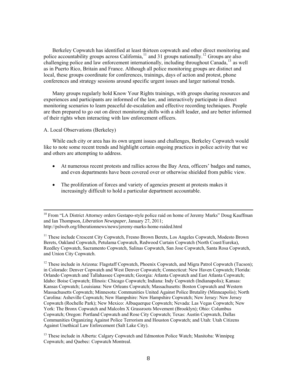conferences and strategy sessions around specific urgent issues and larger national trends. Berkeley Copwatch has identified at least thirteen copwatch and other direct monitoring and police accountability groups across California,<sup>[11](#page-6-3)</sup> and 31 groups nationally.<sup>[12](#page-7-0)</sup> Groups are also challenging police and law enforcement internationally, including throughout Canada,  $^{13}$  $^{13}$  $^{13}$  as well as in Puerto Rico, Britain and France. Although all police monitoring groups are distinct and local, these groups coordinate for conferences, trainings, days of action and protest, phone

Many groups regularly hold Know Your Rights trainings, with groups sharing resources and experiences and participants are informed of the law, and interactively participate in direct monitoring scenarios to learn peaceful de-escalation and effective recording techniques. People are then prepared to go out on direct monitoring shifts with a shift leader, and are better informed of their rights when interacting with law enforcement officers.

#### A. Local Observations (Berkeley)

 $\overline{a}$ 

While each city or area has its own urgent issues and challenges, Berkeley Copwatch would like to note some recent trends and highlight certain ongoing practices in police activity that we and others are attempting to address.

- At numerous recent protests and rallies across the Bay Area, officers' badges and names, and even departments have been covered over or otherwise shielded from public view.
- The proliferation of forces and variety of agencies present at protests makes it increasingly difficult to hold a particular department accountable.

<sup>11</sup> These include Crescent City Copwatch, Fresno Brown Berets, Los Angeles Copwatch, Modesto Brown Berets, Oakland Copwatch, Petulama Copwatch, Redwood Curtain Copwatch (North Coast/Eureka), Reedley Copwatch, Sacramento Copwatch, Salinas Copwatch, San Jose Copwatch, Santa Rosa Copwatch, and Union City Copwatch.

<span id="page-7-0"></span><sup>12</sup> These include in Arizona: Flagstaff Copwatch, Phoenix Copwatch, and Migra Patrol Copwatch (Tucson); in Colorado: Denver Copwatch and West Denver Copwatch; Connecticut: New Haven Copwatch; Florida: Orlando Copwatch and Tallahassee Copwatch; Georgia: Atlanta Copwatch and East Atlanta Copwatch; Idaho: Boise Copwatch; Illinois: Chicago Copwatch; Indiana: Indy Copwatch (Indianapolis); Kansas: Kansas Copwatch; Louisiana: New Orleans Copwatch; Massachusetts: Boston Copwatch and Western Massachusetts Copwatch; Minnesota: Communities United Against Police Brutality (Minneapolis); North Carolina: Asheville Copwatch; New Hampshire: New Hampshire Copwatch; New Jersey: New Jersey Copwatch (Rochelle Park); New Mexico: Albuquerque Copwatch; Nevada: Las Vegas Copwatch; New York: The Bronx Copwatch and Malcolm X Grassroots Movement (Brooklyn); Ohio: Columbus Copwatch; Oregon: Portland Copwatch and Rose City Copwatch; Texas: Austin Copwatch, Dallas Communities Organizing Against Police Terrorism and Houston Copwatch; and Utah: Utah Citizens Against Unethical Law Enforcement (Salt Lake City).

<span id="page-7-2"></span><span id="page-7-1"></span><sup>13</sup> These include in Alberta: Calgary Copwatch and Edmonton Police Watch; Manitoba: Winnipeg Copwatch; and Quebec: Copwatch Montreal.

<sup>&</sup>lt;sup>10</sup> From "LA District Attorney orders Gestapo-style police raid on home of Jeremy Marks" Doug Kauffman and Ian Thompson, *Liberation Newspaper*, January 27, 2011; http://pslweb.org/liberationnews/news/jeremy-marks-home-raided.html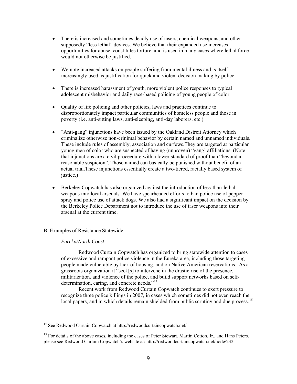- There is increased and sometimes deadly use of tasers, chemical weapons, and other supposedly "less lethal" devices. We believe that their expanded use increases opportunities for abuse, constitutes torture, and is used in many cases where lethal force would not otherwise be justified.
- We note increased attacks on people suffering from mental illness and is itself increasingly used as justification for quick and violent decision making by police.
- There is increased harassment of youth, more violent police responses to typical adolescent misbehavior and daily race-based policing of young people of color.
- Quality of life policing and other policies, laws and practices continue to disproportionately impact particular communities of homeless people and those in poverty (i.e. anti-sitting laws, anti-sleeping, anti-day laborers, etc.)
- "Anti-gang" injunctions have been issued by the Oakland Distrcit Attorney which criminalize otherwise non-crinimal behavior by certain named and unnamed individuals. These include rules of assembly, association and curfews.They are targeted at particular young men of color who are suspected of having (unproven) "gang' affiliations. (Note that injunctions are a civil proceedure with a lower standard of proof than "beyond a reasonable suspicion". Those named can basically be punished without benefit of an actual trial.These injunctions essentially create a two-tiered, racially based system of justice.)
- Berkeley Copwatch has also organized against the introduction of less-than-lethal weapons into local arsenals. We have spearheaded efforts to ban police use of pepper spray and police use of attack dogs. We also had a significant impact on the decision by the Berkeley Police Department not to introduce the use of taser weapons into their arsenal at the current time.

## B. Examples of Resistance Statewide

#### *Eureka/North Coast*

 $\overline{a}$ 

Redwood Curtain Copwatch has organized to bring statewide attention to cases of excessive and rampant police violence in the Eureka area, including those targeting people made vulnerable by lack of housing, and on Native American reservations. As a grassroots organization it "seek[s] to intervene in the drastic rise of the presence, militarization, and violence of the police, and build support networks based on self-determination, caring, and concrete needs."<sup>[14](#page-7-2)</sup>

Recent work from Redwood Curtain Copwatch continues to exert pressure to recognize three police killings in 2007, in cases which sometimes did not even reach the local papers, and in which details remain shielded from public scrutiny and due process.<sup>[15](#page-8-0)</sup>

<span id="page-8-1"></span><sup>14</sup> See Redwood Curtain Copwatch at http://redwoodcurtaincopwatch.net/

<span id="page-8-0"></span><sup>&</sup>lt;sup>15</sup> For details of the above cases, including the cases of Peter Stewart, Martin Cotton, Jr., and Hans Peters, please see Redwood Curtain Copwatch's website at: http://redwoodcurtaincopwatch.net/node/232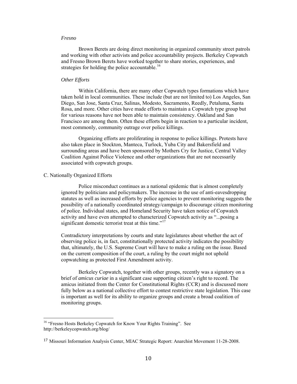#### *Fresno*

Brown Berets are doing direct monitoring in organized community street patrols and working with other activists and police accountability projects. Berkeley Copwatch and Fresno Brown Berets have worked together to share stories, experiences, and strategies for holding the police accountable.<sup>[16](#page-8-1)</sup>

# *Other Efforts*

Within California, there are many other Copwatch types formations which have taken hold in local communities. These include (but are not limited to) Los Angeles, San Diego, San Jose, Santa Cruz, Salinas, Modesto, Sacramento, Reedly, Petaluma, Santa Rosa, and more. Other cities have made efforts to maintain a Copwatch type group but for various reasons have not been able to maintain consistency. Oakland and San Francisco are among them. Often these efforts begin in reaction to a particular incident, most commonly, community outrage over police killings.

Organizing efforts are proliferating in response to police killings. Protests have also taken place in Stockton, Manteca, Turlock, Yuba City and Bakersfield and surrounding areas and have been sponsored by Mothers Cry for Justice, Central Valley Coalition Against Police Violence and other organizations that are not necessarily associated with copwatch groups.

#### C. Nationally Organized Efforts

 $\overline{a}$ 

Police misconduct continues as a national epidemic that is almost completely ignored by politicians and policymakers. The increase in the use of anti-eavesdropping statutes as well as increased efforts by police agencies to prevent monitoring suggests the possibility of a nationally coordinated strategy/campaign to discourage citizen monitoring of police. Individual states, and Homeland Security have taken notice of Copwatch activity and have even attempted to characterized Copwatch activity as "...posing a significant domestic terrorist treat at this time."<sup>[17](#page-9-0)</sup>

Contradictory interpretations by courts and state legislatures about whether the act of observing police is, in fact, constitutionally protected activity indicates the possibility that, ultimately, the U.S. Supreme Court will have to make a ruling on the issue. Based on the current composition of the court, a ruling by the court might not uphold copwatching as protected First Amendment activity.

Berkeley Copwatch, together with other groups, recently was a signatory on a brief of *amicus curiae* in a significant case supporting citizen's right to record. The amicus initiated from the Center for Constitutional Rights (CCR) and is discussed more fully below as a national collective effort to contest restrictive state legislation. This case is important as well for its ability to organize groups and create a broad coalition of monitoring groups.

<sup>&</sup>lt;sup>16</sup> "Fresno Hosts Berkeley Copwatch for Know Your Rights Training". See http://berkeleycopwatch.org/blog/

<span id="page-9-1"></span><span id="page-9-0"></span><sup>17</sup> Missouri Information Analysis Center, MIAC Strategic Report: Anarchist Movement 11-28-2008.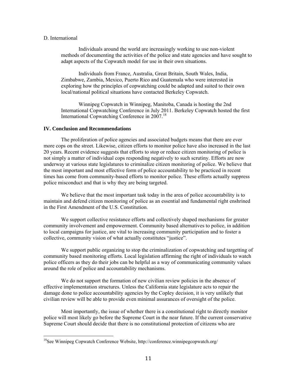#### D. International

 $\overline{a}$ 

Individuals around the world are increasingly working to use non-violent methods of documenting the activities of the police and state agencies and have sought to adapt aspects of the Copwatch model for use in their own situations.

Individuals from France, Australia, Great Britain, South Wales, India, Zimbabwe, Zambia, Mexico, Puerto Rico and Guatemala who were interested in exploring how the principles of copwatching could be adapted and suited to their own local/national political situations have contacted Berkeley Copwatch.

Winnipeg Copwatch in Winnipeg, Manitoba, Canada is hosting the 2nd International Copwatching Conference in July 2011. Berkeley Copwatch hosted the first International Copwatching Conference in 2007.<sup>[18](#page-9-1)</sup>

#### **IV. Conclusion and Recommendations**

The proliferation of police agencies and associated budgets means that there are ever more cops on the street. Likewise, citizen efforts to monitor police have also increased in the last 20 years. Recent evidence suggests that efforts to stop or reduce citizen monitoring of police is not simply a matter of individual cops responding negatively to such scrutiny. Efforts are now underway at various state legislatures to criminalize citizen monitoring of police. We believe that the most important and most effective form of police accountability to be practiced in recent times has come from community-based efforts to monitor police. These efforts actually suppress police misconduct and that is why they are being targeted.

We believe that the most important task today in the area of police accountability is to maintain and defend citizen monitoring of police as an essential and fundamental right enshrined in the First Amendment of the U.S. Constitution.

We support collective resistance efforts and collectively shaped mechanisms for greater community involvement and empowerment. Community based alternatives to police, in addition to local campaigns for justice, are vital to increasing community participation and to foster a collective, community vision of what actually constitutes "justice".

We support public organizing to stop the criminalization of copwatching and targetting of community based monitoring efforts. Local legislation affirming the right of individuals to watch police officers as they do their jobs can be helpful as a way of communicating community values around the role of police and accountability mechanisms.

<span id="page-10-0"></span>We do not support the formation of new civilian review policies in the absence of effective implementation structures. Unless the California state legislature acts to repair the damage done to police accountability agencies by the Copley decision, it is very unlikely that civilian review will be able to provide even minimal assurances of oversight of the police.

Most importantly, the issue of whether there is a constitutional right to directly monitor police will most likely go before the Supreme Court in the near future. If the current conservative Supreme Court should decide that there is no constitutional protection of citizens who are

<sup>18</sup>See Winnipeg Copwatch Conference Website, http://conference.winnipegcopwatch.org/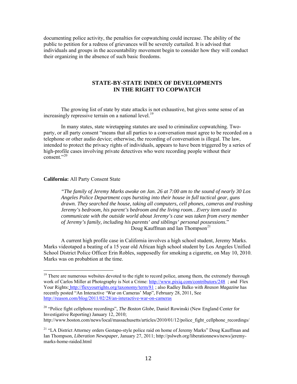documenting police activity, the penalties for copwatching could increase. The ability of the public to petition for a redress of grievances will be severely curtailed. It is advised that individuals and groups in the accountability movement begin to consider how they will conduct their organizing in the absence of such basic freedoms.

# **STATE-BY-STATE INDEX OF DEVELOPMENTS IN THE RIGHT TO COPWATCH**

The growing list of state by state attacks is not exhaustive, but gives some sense of an increasingly repressive terrain on a national level.<sup>[19](#page-10-0)</sup>

In many states, state wiretapping statutes are used to criminalize copwatching. Twoparty, or all party consent "means that all parties to a conversation must agree to be recorded on a telephone or other audio device; otherwise, the recording of conversation is illegal. The law, intended to protect the privacy rights of individuals, appears to have been triggered by a series of high-profile cases involving private detectives who were recording people without their consent."[20](#page-11-0)

#### **California:** All Party Consent State

 $\overline{a}$ 

*"The family of Jeremy Marks awoke on Jan. 26 at 7:00 am to the sound of nearly 30 Los Angeles Police Department cops bursting into their house in full tactical gear, guns drawn. They searched the house, taking all computers, cell phones, cameras and trashing Jeremy's bedroom, his parent's bedroom and the living room…Every item used to communicate with the outside world about Jeremy's case was taken from every member of Jeremy's family, including his parents' and siblings' personal possessions*." Doug Kauffman and Ian Thompson<sup>[21](#page-11-1)</sup>

A current high profile case in California involves a high school student, Jeremy Marks. Marks videotaped a beating of a 15 year old African high school student by Los Angeles Unified School District Police Officer Erin Robles, supposedly for smoking a cigarette, on May 10, 2010. Marks was on probabtion at the time.

http://www.boston.com/news/local/massachusetts/articles/2010/01/12/police\_fight\_cellphone\_recordings/

<sup>&</sup>lt;sup>19</sup> There are numerous websites devoted to the right to record police, among them, the extremely thorough work of Carlos Miller at Photography is Not a Crime:<http://www.pixiq.com/contributors/248> ; and Flex Your Rights: <http://flexyourrights.org/taxonomy/term/81> ; also Radley Balko with *Reason Magazine* has recently posted "An Interactive 'War on Cameras' Map", February 28, 2011, See <http://reason.com/blog/2011/02/28/an-interactive-war-on-cameras>

<span id="page-11-0"></span><sup>&</sup>lt;sup>20</sup> "Police fight cellphone recordings", *The Boston Globe*, Daniel Rowinski (New England Center for Investigative Reporting) January 12, 2010;

<span id="page-11-1"></span><sup>&</sup>lt;sup>21</sup> "LA District Attorney orders Gestapo-style police raid on home of Jeremy Marks" Doug Kauffman and Ian Thompson, *Liberation Newspaper*, January 27, 2011; http://pslweb.org/liberationnews/news/jeremymarks-home-raided.html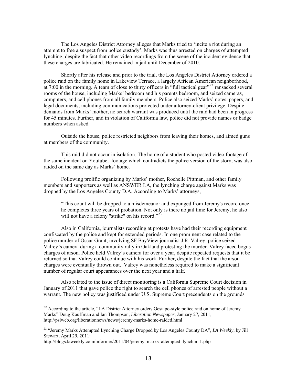The Los Angeles District Attorney alleges that Marks tried to 'incite a riot during an attempt to free a suspect from police custody'. Marks was thus arrested on charges of attempted lynching, despite the fact that other video recordings from the scene of the incident evidence that these charges are fabricated. He remained in jail until December of 2010.

Shortly after his release and prior to the trial, the Los Angeles District Attorney ordered a police raid on the family home in Lakeview Terrace, a largely African American neighborhood, at 7:00 in the morning. A team of close to thirty officers in "full tactical gear"<sup>[22](#page-11-0)</sup> ransacked several rooms of the house, including Marks' bedroom and his parents bedroom, and seized cameras, computers, and cell phones from all family members. Police also seized Marks' notes, papers, and legal documents, including communications protected under attorney-client privilege. Despite demands from Marks' mother, no search warrant was produced until the raid had been in progress for 45 minutes. Further, and in violation of California law, police did not provide names or badge numbers when asked.

Outside the house, police restricted neighbors from leaving their homes, and aimed guns at members of the community.

This raid did not occur in isolation. The home of a student who posted video footage of the same incident on Youtube, footage which contradicts the police version of the story, was also raided on the same day as Marks' home.

 Following prolific organizing by Marks' mother, Rochelle Pittman, and other family members and supporters as well as ANSWER LA, the lynching charge against Marks was dropped by the Los Angeles County D.A. According to Marks' attorneys,

"This count will be dropped to a misdemeanor and expunged from Jeremy's record once he completes three years of probation. Not only is there no jail time for Jeremy, he also will not have a felony "strike" on his record."<sup>[23](#page-12-0)</sup>

Also in California, journalists recording at protests have had their recording equipment confiscated by the police and kept for extended periods. In one prominent case related to the police murder of Oscar Grant, involving SF BayView journalist J.R. Valrey, police seized Valrey's camera during a community rally in Oakland protesting the murder. Valrey faced bogus charges of arson. Police held Valrey's camera for over a year, despite repeated requests that it be returned so that Valrey could continue with his work. Further, despite the fact that the arson charges were eventually thrown out, Valrey was nonetheless required to make a significant number of regular court appearances over the next year and a half.

<span id="page-12-1"></span>Also related to the issue of direct monitoring is a California Supreme Court decision in January of 2011 that gave police the right to search the cell phones of arrested people without a warrant. The new policy was justificed under U.S. Supreme Court precendents on the grounds

 $\overline{a}$ 

 $22$  According to the article, "LA District Attorney orders Gestapo-style police raid on home of Jeremy Marks" Doug Kauffman and Ian Thompson, *Liberation Newspaper*, January 27, 2011; http://pslweb.org/liberationnews/news/jeremy-marks-home-raided.html

<span id="page-12-0"></span><sup>23 &</sup>quot;Jeremy Marks Attempted Lynching Charge Dropped by Los Angeles County DA", *LA Weekly*, by Jill Stewart, April 29, 2011:

http://blogs.laweekly.com/informer/2011/04/jeremy\_marks\_attempted\_lynchin\_1.php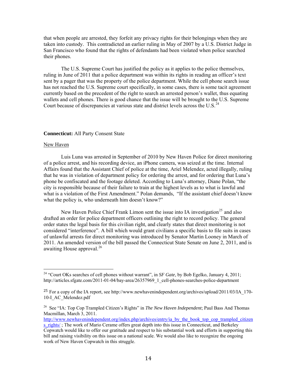that when people are arrested, they forfeit any privacy rights for their belongings when they are taken into custody. This contradicted an earlier ruling in May of 2007 by a U.S. District Judge in San Francisco who found that the rights of defendants had been violated when police searched their phones.

The U.S. Supreme Court has justified the policy as it applies to the police themselves, ruling in June of 2011 that a police department was within its rights in reading an officer's text sent by a pager that was the property of the police department. While the cell phone search issue has not reached the U.S. Supreme court specifically, in some cases, there is some tacit agreement currently based on the precedent of the right to search an arrested person's wallet, thus equating wallets and cell phones. There is good chance that the issue will be brought to the U.S. Supreme Court because of discrepancies at various state and district levels across the U.S.<sup>[24](#page-12-1)</sup>

# **Connecticut:** All Party Consent State

#### New Haven

 $\overline{a}$ 

Luis Luna was arrested in September of 2010 by New Haven Police for direct monitoring of a police arrest, and his recording device, an iPhone camera, was seized at the time. Internal Affairs found that the Assistant Chief of police at the time, Ariel Melendez, acted illegally, ruling that he was in violation of department policy for ordering the arrest, and for ordering that Luna's phone be confiscated and the footage deleted. According to Luna's attorney, Diane Polan, "the city is responsible because of their failure to train at the highest levels as to what is lawful and what is a violation of the First Amendment." Polan demands, "If the assistant chief doesn't know what the policy is, who underneath him doesn't know?"

New Haven Police Chief Frank Limon sent the issue into IA investigation<sup>[25](#page-13-0)</sup> and also drafted an order for police department officers outlining the right to record policy. The general order states the legal basis for this civilian right, and clearly states that direct monitoring is not considered "interference". A bill which would grant civilians a specific basis to file suits in cases of unlawful arrests for direct monitoring was introduced by Senator Martin Looney in March of 2011. An amended version of the bill passed the Connecticut State Senate on June 2, 2011, and is awaiting House approval. $2<sup>6</sup>$ 

<span id="page-13-2"></span>[http://www.newhavenindependent.org/index.php/archives/entry/ia\\_by\\_the\\_book\\_top\\_cop\\_trampled\\_citizen](http://www.newhavenindependent.org/index.php/archives/entry/ia_by_the_book_top_cop_trampled_citizens_rights/) s rights/; The work of Mario Cerame offers great depth into this issue in Connecticut, and Berkeley

<sup>&</sup>lt;sup>24</sup> "Court OKs searches of cell phones without warrant", in *SF Gate*, by Bob Egelko, January 4, 2011; http://articles.sfgate.com/2011-01-04/bay-area/26357969\_1\_cell-phones-searches-police-department

<span id="page-13-0"></span><sup>25</sup> For a copy of the IA report, see http://www.newhavenindependent.org/archives/upload/2011/03/IA\_170- 10-I\_AC\_Melendez.pdf

<span id="page-13-1"></span><sup>26</sup> See "IA: Top Cop Trampled Citizen's Rights" in *The New Haven Independent*; Paul Bass And Thomas Macmillan, March 3, 2011.

Copwatch would like to offer our gratitude and respect to his substantial work and efforts in supporting this bill and raising visibility on this issue on a national scale. We would also like to recognize the ongoing work of New Haven Copwatch in this struggle.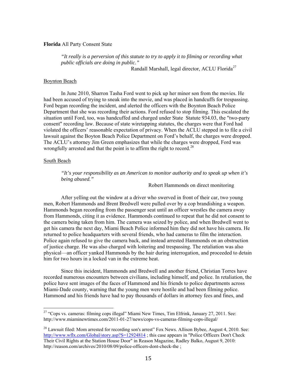#### **Florida** All Party Consent State

*"It really is a perversion of this statute to try to apply it to filming or recording what public officials are doing in public."* 

Randall Marshall, legal director, ACLU Florida<sup>[27](#page-13-2)</sup>

# Boynton Beach

In June 2010, Sharron Tasha Ford went to pick up her minor son from the movies. He had been accused of trying to sneak into the movie, and was placed in handcuffs for trespassing. Ford began recording the incident, and alerted the officers with the Boynton Beach Police Department that she was recording their actions. Ford refused to stop filming. This escalated the situation until Ford, too, was handcuffed and charged under State Statute 934.03, the "two-party consent" recording law. Because of state wiretapping statutes, the charges were that Ford had violated the officers' reasonable expectation of privacy. When the ACLU stepped in to file a civil lawsuit against the Boyton Beach Police Department on Ford's behalf, the charges were dropped. The ACLU's attorney Jim Green emphasizes that while the charges were dropped, Ford was wrongfully arrested and that the point is to affirm the right to record.<sup>[28](#page-14-0)</sup>

#### South Beach

 $\overline{a}$ 

*"It's your responsibility as an American to monitor authority and to speak up when it's being abused."* 

Robert Hammonds on direct monitoring

After yelling out the window at a driver who swerved in front of their car, two young men, Robert Hammonds and Brent Bredwell were pulled over by a cop brandishing a weapon. Hammonds began recording from the passenger seat until an officer wrestles the camera away from Hammonds, citing it as evidence. Hammonds continued to repeat that he did not consent to the camera being taken from him. The camera was seized by police, and when Bredwell went to get his camera the next day, Miami Beach Police informed him they did not have his camera. He returned to police headquarters with several friends, who had cameras to film the interaction. Police again refused to give the camera back, and instead arrested Hammonds on an obstruction of justice charge. He was also charged with loitering and trespassing. The retaliation was also physical—an officer yanked Hammonds by the hair during interrogation, and proceeded to detain him for two hours in a locked van in the extreme heat.

<span id="page-14-1"></span>Since this incident, Hammonds and Bredwell and another friend, Christian Torres have recorded numerous encounters between civilians, including himself, and police. In retaliation, the police have sent images of the faces of Hammond and his friends to police departments across Miami-Dade county, warning that the young men were hostile and had been filming police. Hammond and his friends have had to pay thousands of dollars in attorney fees and fines, and

 $27$  "Cops vs. cameras: filming cops illegal" Miami New Times, Tim Elfrink, January 27, 2011. See: http://www.miaminewtimes.com/2011-01-27/news/cops-vs-cameras-filming-cops-illegal/

<span id="page-14-0"></span> $^{28}$  Lawsuit filed: Mom arrested for recording son's arrest" Fox News. Allison Bybee, August 4, 2010. See: <http://www.wflx.com/Global/story.asp?S=12924814> ; this case appears in "Police Officers Don't Check Their Civil Rights at the Station House Door" in Reason Magazine, Radley Balko, August 9, 2010: http://reason.com/archives/2010/08/09/police-officers-dont-check-the ;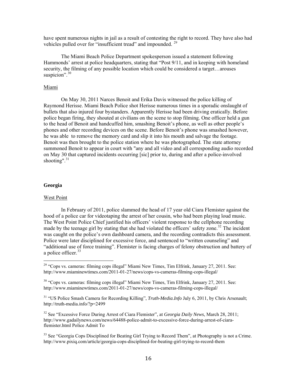have spent numerous nights in jail as a result of contesting the right to record. They have also had vehicles pulled over for "insufficient tread" and impounded. <sup>[29](#page-14-1)</sup>

The Miami Beach Police Department spokesperson issued a statement following Hammonds' arrest at police headquarters, stating that "Post 9/11, and in keeping with homeland security, the filming of any possible location which could be considered a target…arouses suspicion".<sup>[30](#page-15-0)</sup>

#### Miami

On May 30, 2011 Narces Benoit and Erika Davis witnessed the police killing of Raymond Herisse. Miami Beach Police shot Herisse numerous times in a sporadic onslaught of bullets that also injured four bystanders. Apparently Herisse had been driving eratically. Before police began firing, they shouted at civilians on the scene to stop filming. One officer held a gun to the head of Benoit and handcuffed him, smashing Benoit's phone, as well as other people's phones and other recording devices on the scene. Before Benoit's phone was smashed however, he was able to remove the memory card and slip it into his mouth and salvage the footage. Benoit was then brought to the police station where he was photographed. The state attorney summoned Benoit to appear in court with "any and all video and all corresponding audio recorded on May 30 that captured incidents occurring [sic] prior to, during and after a police-involved shooting". $31$ 

#### **Georgia**

 $\overline{a}$ 

#### West Point

In February of 2011, police slammed the head of 17 year old Ciara Flemister against the hood of a police car for videotaping the arrest of her cousin, who had been playing loud music. The West Point Police Chief justified his officers' violent response to the cellphone recording made by the teenage girl by stating that she had violated the officers' safety zone.<sup>[32](#page-15-2)</sup> The incident was caught on the police's own dashboard camera, and the recording contradicts this assessment. Police were later disciplined for excessive force, and sentenced to "written counseling" and "additional use of force training". Flemister is facing charges of felony obstruction and battery of a police officer.<sup>[33](#page-15-3)</sup>

<span id="page-15-2"></span>32 See "Excessive Force During Arrest of Ciara Flemister", at *Georgia Daily News*, March 28, 2011; http://www.gadailynews.com/news/64488-police-admit-to-excessive-force-during-arrest-of-ciaraflemister.html Police Admit To

<span id="page-15-3"></span> $33$  See "Georgia Cops Disciplined for Beating Girl Trying to Record Them", at Photography is not a Crime. http://www.pixiq.com/article/georgia-cops-disciplined-for-beating-girl-trying-to-record-them

<sup>&</sup>lt;sup>29</sup> "Cops vs. cameras: filming cops illegal" Miami New Times, Tim Elfrink, January 27, 2011. See: http://www.miaminewtimes.com/2011-01-27/news/cops-vs-cameras-filming-cops-illegal/

<span id="page-15-4"></span><span id="page-15-0"></span><sup>&</sup>lt;sup>30</sup> "Cops vs. cameras: filming cops illegal" Miami New Times, Tim Elfrink, January 27, 2011. See: http://www.miaminewtimes.com/2011-01-27/news/cops-vs-cameras-filming-cops-illegal/

<span id="page-15-1"></span><sup>31 &</sup>quot;US Police Smash Camera for Recording Killing", *Truth-Media.Info* July 6, 2011, by Chris Arsenault; http://truth-media.info/?p=2499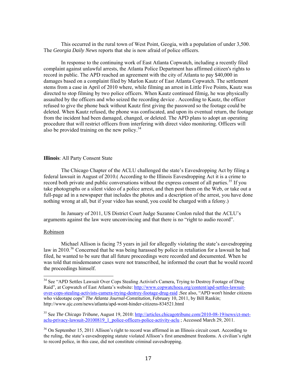This occurred in the rural town of West Point, Geogia, with a population of under 3,500. The *Georgia Daily News* reports that she is now afraid of police officers.

In response to the continuing work of East Atlanta Copwatch, including a recently filed complaint against unlawful arrests, the Atlanta Police Department has affirmed citizen's rights to record in public. The APD reached an agreement with the city of Atlanta to pay \$40,000 in damages based on a complaint filed by Marlon Kautz of East Atlanta Copwatch. The settlement stems from a case in April of 2010 where, while filming an arrest in Little Five Points, Kautz was directed to stop filming by two police officers. When Kautz continued filmig, he was physically assaulted by the officers and who seized the recording device . According to Kautz, the officer refused to give the phone back without Kautz first giving the password so the footage could be deleted. When Kautz refused, the phone was confiscated, and upon its eventual return, the footage from the incident had been damaged, changed, or deleted. The APD plans to adopt an operating procedure that will restrict officers from interfering with direct video monitoring. Officers will also be provided training on the new policy. $34$ 

#### **Illinois**: All Party Consent State

The Chicago Chapter of the ACLU challenged the state's Eavesdropping Act by filing a federal lawsuit in August of 2010.( According to the Illinois Eavesdropping Act it is a crime to record both private and public conversations without the express consent of all parties.<sup>[35](#page-16-0)</sup> If you take photographs or a silent video of a police arrest, and then post them on the Web, or take out a full-page ad in a newspaper that includes the photos and a description of the arrest, you have done nothing wrong at all, but if your video has sound, you could be charged with a felony.)

In January of 2011, US District Court Judge Suzanne Conlon ruled that the ACLU's arguments against the law were unconvincing and that there is no "right to audio record".

#### Robinson

 $\overline{a}$ 

Michael Allison is facing 75 years in jail for allegedly violating the state's eavesdropping law in 2010.<sup>[36](#page-16-1)</sup> Concerned that he was being harassed by police in retaliation for a lawsuit he had filed, he wanted to be sure that all future proceedings were recorded and documented. When he was told that misdemeanor cases were not transcribed, he informed the court that he would record the proceedings himself.

<span id="page-16-2"></span><sup>&</sup>lt;sup>34</sup> See "APD Settles Lawsuit Over Cops Stealing Activist's Camera, Trying to Destroy Footage of Drug Raid", at Copwatch of East Atlanta's website: [http://www.copwatchoea.org/content/apd-settles-lawsuit](http://www.copwatchoea.org/content/apd-settles-lawsuit-over-cops-stealing-activists-camera-trying-destroy-footage-drug-raid)[over-cops-stealing-activists-camera-trying-destroy-footage-drug-raid](http://www.copwatchoea.org/content/apd-settles-lawsuit-over-cops-stealing-activists-camera-trying-destroy-footage-drug-raid) ;See also, "APD won't hinder citizens who videotape cops" *The Atlanta Journal-Constitution*, February 10, 2011, by Bill Rankin; http://www.ajc.com/news/atlanta/apd-wont-hinder-citizens-834521.html

<span id="page-16-0"></span><sup>35</sup> See *The Chicago Tribune*, August 19, 2010: [http://articles.chicagotribune.com/2010-08-19/news/ct-met](http://articles.chicagotribune.com/2010-08-19/news/ct-met-aclu-privacy-lawsuit-20100819_1_police-officers-police-activity-aclu)[aclu-privacy-lawsuit-20100819\\_1\\_police-officers-police-activity-aclu](http://articles.chicagotribune.com/2010-08-19/news/ct-met-aclu-privacy-lawsuit-20100819_1_police-officers-police-activity-aclu) ; Accessed March 29, 2011.

<span id="page-16-1"></span> $36$  On September 15, 2011 Allison's right to record was affirmed in an Illinois circuit court. According to the ruling, the state's eavesdropping statute violated Allison's first amendment freedoms. A civilian's right to record police, in this case, did not constitute criminal eavesdropping.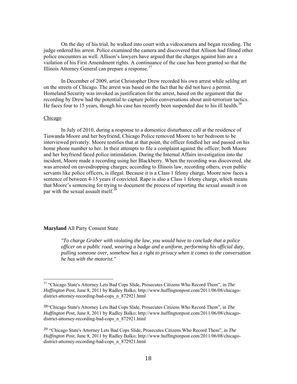On the day of his trial, he walked into court with a videocamera and began recoding. The judge ordered his arrest. Police examined the camera and discovered that Allison had filmed other police encounters as well. Allison's lawyers have argued that the charges against him are a violation of his First Amendment rights. A continuance of the case has been granted so that the Illinois Attorney General can prepare a response.<sup>[37](#page-16-2)</sup>

In December of 2009, artist Christopher Drew recorded his own arrest while selilng art on the streets of Chicago. The arrest was based on the fact that he did not have a permit. Homeland Security was invoked as justification for the arrest, based on the argument that the recording by Drew had the potential to capture police conversations about anit-terrorism tactics. He faces four to 15 years, though his case has recently been suspended due to his ill health.<sup>[38](#page-17-0)</sup>

#### Chicago

 $\overline{a}$ 

In July of 2010, during a response to a domestice disturbance call at the residence of Tiawanda Moore and her boyfriend, Chicago Police removed Moore to her bedroom to be interviewed privately. Moore testifies that at that point, the officer fondled her and passed on his home phone number to her. In their attempts to file a complaint against the officer, both Moore and her boyfriend faced police intimidation. During the Internal Affairs investigation into the incident, Moore made a recording using her Blackberry. When the recording was discovered, she was arrested on eavesdropping charges; according to Illinois law, recording others, even public servants like police officers, is illegal. Because it is a Class 1 felony charge, Moore now faces a sentence of between 4-15 years if convicted. Rape is also a Class 1 felony charge, which means that Moore's sentencing for trying to document the process of reporting the sexual assault is on par with the sexual assault itself.<sup>[39](#page-17-1)</sup>

#### <span id="page-17-2"></span>**Maryland** All Party Consent State

*"To charge Graber with violating the law, you would have to conclude that a police officer on a public road, wearing a badge and a uniform, performing his official duty, pulling someone over, somehow has a right to privacy when it comes to the conversation he has with the motorist."* 

<sup>37 &</sup>quot;Chicago State's Attorney Lets Bad Cops Slide, Prosecutes Citizens Who Record Them", in *The Huffington Post*, June 8, 2011 by Radley Balko; http://www.huffingtonpost.com/2011/06/08/chicagodistrict-attorney-recording-bad-cops\_n\_872921.html

<span id="page-17-0"></span><sup>38</sup>"Chicago State's Attorney Lets Bad Cops Slide, Prosecutes Citizens Who Record Them", in *The Huffington Post*, June 8, 2011 by Radley Balko; http://www.huffingtonpost.com/2011/06/08/chicagodistrict-attorney-recording-bad-cops\_n\_872921.html

<span id="page-17-1"></span><sup>39</sup> "Chicago State's Attorney Lets Bad Cops Slide, Prosecutes Citizens Who Record Them", in *The Huffington Post*, June 8, 2011 by Radley Balko; http://www.huffingtonpost.com/2011/06/08/chicagodistrict-attorney-recording-bad-cops\_n\_872921.html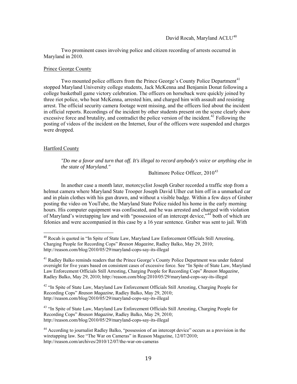Two prominent cases involving police and citizen recording of arrests occurred in Maryland in 2010.

#### Prince George County

Two mounted police officers from the Prince George's County Police Department<sup>[41](#page-18-0)</sup> stopped Maryland University college students, Jack McKenna and Benjamin Donat following a college basketball game victory celebration. The officers on horseback were quickly joined by three riot police, who beat McKenna, arrested him, and charged him with assault and resisting arrest. The official security camera footage went missing, and the officers lied about the incident in official reports. Recordings of the incident by other students present on the scene clearly show excessive force and brutality, and contradict the police version of the incident.<sup>[42](#page-18-1)</sup> Following the posting of videos of the incident on the Internet, four of the officers were suspended and charges were dropped.

# Hartford County

 $\overline{a}$ 

*"Do me a favor and turn that off. It's illegal to record anybody's voice or anything else in the state of Maryland."* 

Baltimore Police Officer, 2010<sup>[43](#page-18-2)</sup>

In another case a month later, motorcyclist Joseph Graber recorded a traffic stop from a helmut camera where Maryland State Trooper Joseph David Ulher cut him off in a unmarked car and in plain clothes with his gun drawn, and without a visible badge. Within a few days of Graber posting the video on YouTube, the Maryland State Police raided his home in the early morning hours. His computer equipment was confiscated, and he was arrested and charged with violation of Maryland's wiretapping law and with "possession of an intercept device,"<sup>[44](#page-18-3)</sup> both of which are felonies and were accompanied in this case by a 16 year sentence. Graber was sent to jail. With

<span id="page-18-1"></span><sup>42</sup> "In Spite of State Law, Maryland Law Enforcement Officials Still Arresting, Charging People for Recording Cops" *Reason Magazine*, Radley Balko, May 29, 2010; http://reason.com/blog/2010/05/29/maryland-cops-say-its-illegal

<span id="page-18-4"></span><sup>&</sup>lt;sup>40</sup> Rocah is quoted in "In Spite of State Law, Maryland Law Enforcement Officials Still Arresting, Charging People for Recording Cops" *Reason Magazine*, Radley Balko, May 29, 2010; http://reason.com/blog/2010/05/29/maryland-cops-say-its-illegal

<span id="page-18-0"></span> $41$  Radley Balko reminds readers that the Prince George's County Police Department was under federal oversight for five years based on consistent cases of excessive force. See "In Spite of State Law, Maryland Law Enforcement Officials Still Arresting, Charging People for Recording Cops" *Reason Magazine*, Radley Balko, May 29, 2010; http://reason.com/blog/2010/05/29/maryland-cops-say-its-illegal

<span id="page-18-2"></span><sup>&</sup>lt;sup>43</sup> "In Spite of State Law, Maryland Law Enforcement Officials Still Arresting, Charging People for Recording Cops" *Reason Magazine*, Radley Balko, May 29, 2010; http://reason.com/blog/2010/05/29/maryland-cops-say-its-illegal

<span id="page-18-3"></span><sup>44</sup> According to journalist Radley Balko, "possession of an intercept device" occurs as a provision in the wiretapping law. See "The War on Cameras" in Reason Magazine, 12/07/2010; http://reason.com/archives/2010/12/07/the-war-on-cameras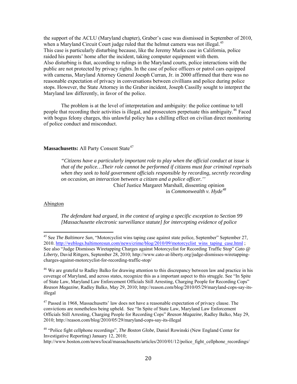the support of the ACLU (Maryland chapter), Graber's case was dismissed in September of 2010, when a Maryland Circuit Court judge ruled that the helmut camera was not illegal.<sup>[45](#page-18-4)</sup> This case is particularly disturbing because, like the Jeremy Marks case in California, police raided his parents' home after the incident, taking computer equipment with them. Also disturbing is that, according to rulings in the Maryland courts, police interactions with the public are not protected by privacy rights. In the case of police officers or patrol cars equipped with cameras, Maryland Attorney General Joesph Curran, Jr. in 2000 affirmed that there was no reasonable expectation of privacy in conversations between civillians and police during police stops. However, the State Attorney in the Graber incident, Joseph Cassilly sought to interpret the Maryland law differently, in favor of the police.

The problem is at the level of interpretation and ambiguity: the police continue to tell people that recording their activities is illegal, and prosecuters perpetuate this ambiguity.<sup>[46](#page-19-0)</sup> Faced with bogus felony charges, this unlawful policy has a chilling effect on civilian direct monitoring of police conduct and misconduct.

# **Massachusetts:** All Party Consent State<sup>[47](#page-19-1)</sup>

*"Citizens have a particularly important role to play when the official conduct at issue is that of the police…Their role cannot be performed if citizens must fear criminal reprisals when they seek to hold government officials responsible by recording, secretly recording on occasion, an interaction between a citizen and a police officer.''* Chief Justice Margaret Marshall, dissenting opinion

in *Commonwealth v. Hyde[48](#page-19-2)*

#### Abington

 $\overline{a}$ 

*The defendant had argued, in the context of urging a specific exception to Section 99 [Massachusette electronic surveillance statute] for intercepting evidence of police* 

<sup>45</sup> See *The Baltimore Sun*, "Motorcyclist wins taping case against state police, September" September 27, 2010. [http://weblogs.baltimoresun.com/news/crime/blog/2010/09/motorcyclist\\_wins\\_taping\\_case.html](http://weblogs.baltimoresun.com/news/crime/blog/2010/09/motorcyclist_wins_taping_case.html) ; See also "Judge Dismisses Wiretapping Charges against Motorcyclist for Recording Traffic Stop" *Cato @ Liberty,* David Rittgers, September 28, 2010; http://www.cato-at-liberty.org/judge-dismisses-wiretappingcharges-against-motorcyclist-for-recording-traffic-stop/

<span id="page-19-0"></span><sup>&</sup>lt;sup>46</sup> We are grateful to Radley Balko for drawing attention to this discrepancy between law and practice in his coverage of Maryland, and across states, recognize this as a important aspect to this struggle. See "In Spite of State Law, Maryland Law Enforcement Officials Still Arresting, Charging People for Recording Cops" *Reason Magazine*, Radley Balko, May 29, 2010; http://reason.com/blog/2010/05/29/maryland-cops-say-itsillegal

<span id="page-19-3"></span><span id="page-19-1"></span> $47$  Passed in 1968, Massachusetts' law does not have a reasonable expectation of privacy clause. The convictions are nonetheless being upheld. See "In Spite of State Law, Maryland Law Enforcement Officials Still Arresting, Charging People for Recording Cops" *Reason Magazine*, Radley Balko, May 29, 2010; http://reason.com/blog/2010/05/29/maryland-cops-say-its-illegal

<span id="page-19-2"></span><sup>48 &</sup>quot;Police fight cellphone recordings", *The Boston Globe*, Daniel Rowinski (New England Center for Investigative Reporting) January 12, 2010;

http://www.boston.com/news/local/massachusetts/articles/2010/01/12/police\_fight\_cellphone\_recordings/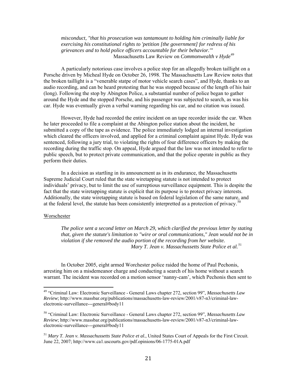*misconduct, "that his prosecution was tantamount to holding him criminally liable for exercising his constitutional rights to 'petition [the government] for redress of his grievances and to hold police officers accountable for their behavior.'"*  Massachusetts Law Review on *Commonwealth v Hyde*<sup>[49](#page-19-3)</sup>

A particularly notorious case involves a police stop for an allegedly broken taillight on a Porsche driven by Micheal Hyde on October 26, 1998. The Massachusetts Law Review notes that the broken taillight is a "venerable statpe of motor vehicle search cases", and Hyde, thanks to an audio recording, and can be heard protesting that he was stopped because of the length of his hair (long). Following the stop by Abington Police, a substantial number of police began to gather around the Hyde and the stopped Porsche, and his passenger was subjected to search, as was his car. Hyde was eventually given a verbal warning regarding his car, and no citation was issued.

However, Hyde had recorded the entire incident on an tape recorder inside the car. When he later proceeded to file a complaint at the Abington police station about the incident, he submitted a copy of the tape as evidence. The police immediately lodged an internal investigation which cleared the officers involved, and applied for a criminal complaint against Hyde. Hyde was sentenced, following a jury trial, to violating the rights of four difference officers by making the recording during the traffic stop. On appeal, Hyde argued that the law was not intended to refer to public speech, but to protect private communication, and that the police operate in public as they perform their duties.

In a decision as startling in its announcment as in its endurance, the Massachusetts Supreme Judicial Court ruled that the state wiretapping statute is not intended to protect individuals' privacy, but to limit the use of surreptious surveillance equipment. This is despite the fact that the state wiretapping statute is explicit that its purpose is to protect privacy interests. Additionally, the state wiretapping statute is based on federal legislation of the same nature, and at the federal level, the statute has been consistently interpretted as a protection of privacy.<sup>[50](#page-20-0)</sup>

#### Worschester

 $\overline{a}$ 

*The police sent a second letter on March 29, which clarified the previous letter by stating that, given the statute's limitation to "wire or oral communications," Jean would not be in violation if she removed the audio portion of the recording from her website. Mary T. Jean v. Massachussetts State Police et al.*<sup>[51](#page-20-1)</sup>

<span id="page-20-2"></span>In October 2005, eight armed Worchester police raided the home of Paul Pechonis, arresting him on a misdemeanor charge and conducting a search of his home without a search warrant. The incident was recorded on a motion sensor 'nanny-cam', which Pechonis then sent to

<sup>49 &</sup>quot;Criminal Law: Electronic Surveillance - General Laws chapter 272, section 99", *Massachusetts Law Review*; http://www.massbar.org/publications/massachusetts-law-review/2001/v87-n3/criminal-lawelectronic-surveillance---general#body11

<span id="page-20-0"></span><sup>50 &</sup>quot;Criminal Law: Electronic Surveillance - General Laws chapter 272, section 99", *Massachusetts Law Review*; http://www.massbar.org/publications/massachusetts-law-review/2001/v87-n3/criminal-lawelectronic-surveillance---general#body11

<span id="page-20-1"></span><sup>51</sup> *Mary T. Jean v. Massachussetts State Police et al.*, United States Court of Appeals for the First Circuit. June 22, 2007; http://www.ca1.uscourts.gov/pdf.opinions/06-1775-01A.pdf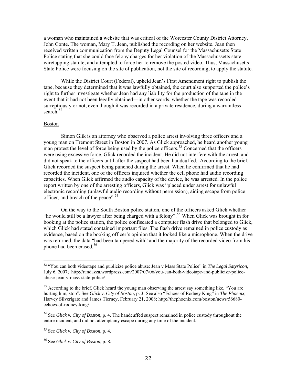a woman who maintained a website that was critical of the Worcester County District Attorney, John Conte. The woman, Mary T. Jean, published the recording on her website. Jean then received written communication from the Deputy Legal Counsel for the Massachusetts State Police stating that she could face felony charges for her violation of the Massachussetts state wiretapping statute, and attempted to force her to remove the posted video. Thus, Massachusetts State Police were focusing on the site of publication, not the site of recording, to apply the statute.

While the District Court (Federal), upheld Jean's First Amendment right to publish the tape, because they determined that it was lawfully obtained, the court also supported the police's right to further investigate whether Jean had any liability for the production of the tape in the event that it had not been legally obtained—in other words, whether the tape was recorded surreptiously or not, even though it was recorded in a private residence, during a warrantless search  $52$ 

#### Boston

 $\overline{a}$ 

Simon Glik is an attorney who observed a police arrest involving three officers and a young man on Tremont Street in Boston in 2007. As Glick approached, he heard another young man protest the level of force being used by the police officers.<sup>[53](#page-21-0)</sup> Concerned that the officers were using excessive force, Glick recorded the incident. He did not interfere with the arrest, and did not speak to the officers until after the suspect had been handcuffed. According to the bri ef, Glick recorded the suspect being punched during the arrest. When he confirmed that he had recorded the incident, one of the officers inquired whether the cell phone had audio recording capacities. When Glick affirmed the audio capacity of the device, he was arrested. In the police report written by one of the arresting officers, Glick was "placed under arrest for unlawful electronic recording (unlawful audio recording without permission), aiding escape from police officer, and breach of the peace". [54](#page-21-1)

<span id="page-21-4"></span>On the way to the South Boston police station, one of the officers asked Glick whether "he would still be a lawyer after being charged with a felony".<sup>[55](#page-21-2)</sup> When Glick was brought in for booking at the police station, the police confiscated a computer flash drive that belonged to Glick, which Glick had stated contained important files. The flash drive remained in police custody as evidence, based on the booking officer's opinion that it looked like a microphone. When the drive was returned, the data "had been tampered with" and the majority of the recorded video from his phone had been erased.<sup>[56](#page-21-3)</sup>

<sup>52 &</sup>quot;You can both videotape and publicize police abuse: Jean v Mass State Police" in *The Legal Satyricon*, July 6, 2007; http://randazza.wordpress.com/2007/07/06/you-can-both-videotape-and-publicize-policeabuse-jean-v-mass-state-police/

<span id="page-21-0"></span><sup>&</sup>lt;sup>53</sup> According to the brief, Glick heard the young man observing the arrest say something like, "You are hurting him, stop". See *Glick v. City of Boston,* p. 3. See also "Echoes of Rodney King" in *The Phoenix*, Harvey Silverlgate and James Tierney, February 21, 2008; http://thephoenix.com/boston/news/56680 echoes-of-rodney-king/

<span id="page-21-1"></span><sup>54</sup> See *Glick v. City of Boston*, p. 4. The handcuffed suspect remained in police custody throughout the entire incident, and did not attempt any escape during any time of the incident.

<span id="page-21-2"></span><sup>55</sup> See *Glick v. City of Boston*, p. 4.

<span id="page-21-3"></span><sup>56</sup> See *Glick v. City of Boston*, p. 8.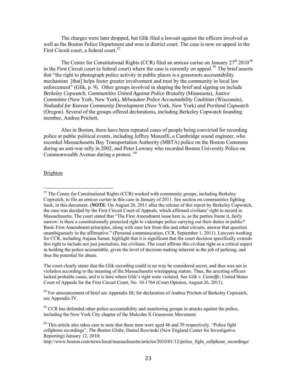The charges were later dropped, but Glik filed a lawsuit against the officers involved as well as the Boston Police Department and won in district court. The case is now on appeal in the First Circuit court, a federal court.<sup>[57](#page-21-4)</sup>

The Center for Constitutional Rights (CCR) filed an amicus curiae on January  $27<sup>th</sup> 2010<sup>58</sup>$  $27<sup>th</sup> 2010<sup>58</sup>$  $27<sup>th</sup> 2010<sup>58</sup>$ in the First Circuit court (a federal court) where the case is currently on appeal.<sup>[59](#page-22-1)</sup> The brief asserts that "the right to photograph police activity in public places is a grassroots accountability mechanism [that] helps foster greater involvement and trust by the community in local law enforcement" (Glik, p. 9). Other groups involved in shaping the brief and signing on include *Berkeley Copwatch*, *Communities United Against Police Brutality* (Minnesota), *Justice Committee* (New York, New York), *Milwaukee Police Accountability Coalition* (Wisconsin), *Nodutdol for Korean Community Development* (New York, New York) *and Portland Copwatch* (Oregon). Several of the groups offered declarations, including Berkeley Copwatch founding member, Andrea Prichett.

Also in Boston, there have been repeated cases of people being convicted for recording police at public political events, including Jeffrey Manzelli, a Cambridge sound engineer, who recorded Massachusetts Bay Transportation Authority (MBTA) police on the Boston Commons during an anti-war rally in 2002, and Peter Lowney who recorded Boston University Police on Commonwealth Avenue during a protest. <sup>[60](#page-22-2)</sup>

# **Brighton**

 $\overline{a}$ 

<span id="page-22-3"></span>The court clearly states that the Glik recording could in no way be considered secret, and thus was not in violation according to the meaning of the Massachusetts wiretapping statute. Thus, the arresting officers lacked probable cause, and it is here where Glik's right were violated. See *Glik v. Cunniffe*, United States Court of Appeals for the First Circuit Court, No. 10-1764 (Court Opinion, August 26, 2011).

<span id="page-22-0"></span><sup>58</sup> For announcement of brief see Appendix III; for declaration of Andrea Prichett of Berkeley Copwatch, see Appendix IV.

<span id="page-22-1"></span> $59$  CCR has defended other police accountability and monitoring groups in attacks against the police, including the New York City chapter of the Malcolm X Grassroots Movement.

 $57$  The Center for Constitutional Rights (CCR) worked with community groups, including Berkeley Copwatch, to file an *amicus curiae* in this case in January of 2011. See section on communities fighting back, in this document. (**NOTE**: On August 26, 2011 after the release of this report by Berkeley Copwatch, the case was decided by the First Circuit Court of Appeals, which affirmed civilians' right to record in Massachusetts. The court stated that "The First Amendment issue here is, as the parties frame it, fairly narrow: is there a constitutionally protected right to videotape police carrying out their duties in public? Basic First Amendment principles, along with case law from this and other circuits, answer that question unambiguously in the affirmative." (Personal communication, CCR, September 1, 2011). Lawyers working for CCR, including Anjana Samat, highlight that it is significant that the court decision specifically extends this right to include not just journalists, but civilians. The court affirms this civilian right as a critical aspect in holding the police accountable, given the level of decision making inherent in the job of policing, and thus the potential for abuse.

<span id="page-22-2"></span> $60$  This article also takes care to note that these men were aged 46 and 39 respectively. "Police fight cellphone recordings", *The Boston Globe*, Daniel Rowinski (New England Center for Investigative Reporting) January 12, 2010;

http://www.boston.com/news/local/massachusetts/articles/2010/01/12/police\_fight\_cellphone\_recordings/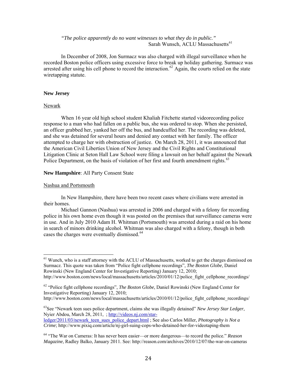*"The police apparently do no want witnesses to what they do in public."*  Sarah Wunsch, ACLU Massachusetts<sup>[61](#page-22-3)</sup>

In December of 2008, Jon Surmacz was also charged with illegal surveillance when he recorded Boston police officers using excessive force to break up holiday gathering. Surmacz was arrested after using his cell phone to record the interaction.<sup>[62](#page-23-0)</sup> Again, the courts relied on the state wiretapping statute.

#### **New Jersey**

#### Newark

 $\overline{a}$ 

When 16 year old high school student Khaliah Fitchette started videorecording police response to a man who had fallen on a public bus, she was ordered to stop. When she persisted, an officer grabbed her, yanked her off the bus, and handcuffed her. The recording was deleted, and she was detained for several hours and denied any contact with her family. The officer attempted to charge her with obstruction of justice. On March 28, 2011, it was announced that the American Civil Liberties Union of New Jersey and the Civil Rights and Constitutional Litigation Clinic at Seton Hall Law School were filing a lawsuit on her behalf against the Newark Police Department, on the basis of violation of her first and fourth amendment rights.<sup>[63](#page-23-1)</sup>

## **New Hampshire**: All Party Consent State

#### Nashua and Portsmouth

In New Hampshire, there have been two recent cases where civilians were arrested in their homes.

Michael Gannon (Nashua) was arrested in 2006 and charged with a felony for recording police in his own home even though it was posted on the premises that surveillance cameras were in use. And in July 2010 Adam H. Whitman (Portsmouth) was arrested during a raid on his home in search of minors drinking alcohol. Whitman was also charged with a felony, though in both cases the charges were eventually dismissed.<sup>[64](#page-23-2)</sup>

<sup>&</sup>lt;sup>61</sup> Wunch, who is a staff attorney with the ACLU of Massachusetts, worked to get the charges dismissed on Surmacz. This quote was taken from "Police fight cellphone recordings", *The Boston Globe*, Daniel Rowinski (New England Center for Investigative Reporting) January 12, 2010; http://www.boston.com/news/local/massachusetts/articles/2010/01/12/police\_fight\_cellphone\_recordings/

<span id="page-23-0"></span><sup>62 &</sup>quot;Police fight cellphone recordings", *The Boston Globe*, Daniel Rowinski (New England Center for Investigative Reporting) January 12, 2010;

http://www.boston.com/news/local/massachusetts/articles/2010/01/12/police\_fight\_cellphone\_recordings/

<span id="page-23-1"></span><sup>63</sup>See "Newark teen sues police department, claims she was illegally detained" *New Jersey Star Ledger*, Nyier Abdou, March 28, 2011, ; [http://videos.nj.com/star-](http://videos.nj.com/star-ledger/2011/03/newark_teen_sues_police_depart.html)

[ledger/2011/03/newark\\_teen\\_sues\\_police\\_depart.html](http://videos.nj.com/star-ledger/2011/03/newark_teen_sues_police_depart.html) ; See also Carlos Miller, *Photography is Not a Crime*; http://www.pixiq.com/article/nj-girl-suing-cops-who-detained-her-for-videotaping-them

<span id="page-23-2"></span><sup>64 &</sup>quot;The War on Cameras: It has never been easier—or more dangerous—to record the police." *Reason Magazine*, Radley Balko, January 2011. See: http://reason.com/archives/2010/12/07/the-war-on-cameras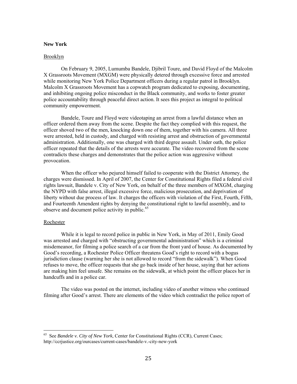#### **New York**

#### Brooklyn

On February 9, 2005, Lumumba Bandele, Djibril Toure, and David Floyd of the Malcolm X Grassroots Movement (MXGM) were physically detered through excessive force and arrested while monitoring New York Police Department officers during a regular patrol in Brooklyn. Malcolm X Grassroots Movement has a copwatch program dedicated to exposing, documenting, and inhibiting ongoing police misconduct in the Black community, and works to foster greater police accountability through peaceful direct action. It sees this project as integral to political community empowerment.

Bandele, Toure and Floyd were videotaping an arrest from a lawful distance when an officer ordered them away from the scene. Despite the fact they complied with this request, the officer shoved two of the men, knocking down one of them, together with his camera. All three were arrested, held in custody, and charged with resisting arrest and obstruction of governmental administration. Additionally, one was charged with third degree assault. Under oath, the police officer repeated that the details of the arrests were accurate. The video recovered from the scene contradicts these charges and demonstrates that the police action was aggressive without provocation.

When the officer who pejured himself failed to cooperate with the District Attorney, the charges were dismissed. In April of 2007, the Center for Constitutional Rights filed a federal civil rights lawsuit, Bandele v. City of New York, on behalf of the three members of MXGM, charging the NYPD with false arrest, illegal excessive force, malicious prosecution, and deprivation of liberty without due process of law. It charges the officers with violation of the First, Fourth, Fifth, and Fourteenth Amendent rights by denying the constitutional right to lawful assembly, and to observe and document police activity in public.<sup>[65](#page-23-2)</sup>

#### Rochester

 $\overline{a}$ 

While it is legal to record police in public in New York, in May of 2011, Emily Good was arrested and charged with "obstructing governmental administration" which is a criminal misdemeanor, for filming a police search of a car from the front yard of house. As documented by Good's recording, a Rochester Police Officer threatens Good's right to record with a bogus jurisdiction clause (warning her she is not allowed to record "from the sidewalk"). When Good refuses to move, the officer requests that she go back inside of her house, saying that her actions are making him feel unsafe. She remains on the sidewalk, at which point the officer places her in handcuffs and in a police car.

<span id="page-24-0"></span>The video was posted on the internet, including video of another witness who continued filming after Good's arrest. There are elements of the video which contradict the police report of

<sup>65</sup> See *Bandele v. City of New York*, Center for Constitutional Rights (CCR), Current Cases; http://ccrjustice.org/ourcases/current-cases/bandele-v.-city-new-york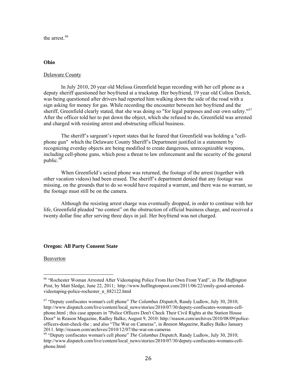the arrest.<sup>[66](#page-24-0)</sup>

## **Ohio**

# Delaware County

In July 2010, 20 year old Melissa Greenfield began recording with her cell phone as a deputy sheriff questioned her boyfriend at a truckstop. Her boyfriend, 19 year old Colton Dorich, was being questioned after drivers had reported him walking down the side of the road with a sign asking for money for gas. While recording the encounter between her boyfriend and the sheriff, Greenfield clearly stated, that she was doing so "for legal purposes and our own safety."<sup>[67](#page-25-0)</sup> After the officer told her to put down the object, which she refused to do, Greenfield was arrested and charged with resisting arrest and obstructing official business.

The sheriff's sargeant's report states that he feared that Greenfield was holding a "cellphone gun" which the Delaware County Sheriff's Department justified in a statement by recognizing everday objects are being modified to create dangerous, unrecognizable weapons, including cell-phone guns, which pose a threat to law enforcement and the security of the general public.<sup>[68](#page-25-1)</sup>

When Greenfield's seized phone was returned, the footage of the arrest (together with other vacation videos) had been erased. The sheriff's department denied that any footage was missing, on the grounds that to do so would have required a warrant, and there was no warrant, so the footage must still be on the camera.

Although the resisting arrest charge was eventually dropped, in order to continue with her life, Greenfield pleaded "no contest" on the obstruction of official business charge, and received a twenty dollar fine after serving three days in jail. Her boyfriend was not charged.

#### **Oregon: All Party Consent State**

Beaverton

 $\overline{a}$ 

<span id="page-25-2"></span><sup>66 &</sup>quot;Rochester Woman Arrested After Videotaping Police From Her Own Front Yard", in *The Huffington Post*, by Matt Sledge, June 22, 2011; http://www.huffingtonpost.com/2011/06/22/emily-good-arrestedvideotaping-police-rochester\_n\_882122.html

<span id="page-25-0"></span><sup>67 &</sup>quot;Deputy confiscates woman's cell phone" *The Columbus Dispatch*, Randy Ludlow, July 30, 2010; http://www.dispatch.com/live/content/local\_news/stories/2010/07/30/deputy-confiscates-womans-cellphone.html ; this case appears in "Police Officers Don't Check Their Civil Rights at the Station House Door" in Reason Magazine, Radley Balko, August 9, 2010: http://reason.com/archives/2010/08/09/policeofficers-dont-check-the ; and also "The War on Cameras", in *Reason Magazine*, Radley Balko January

<span id="page-25-1"></span><sup>2011.</sup> http://reason.com/archives/2010/12/07/the-war-on-cameras 68 "Deputy confiscates woman's cell phone" *The Columbus Dispatch*, Randy Ludlow, July 30, 2010; http://www.dispatch.com/live/content/local\_news/stories/2010/07/30/deputy-confiscates-womans-cellphone.html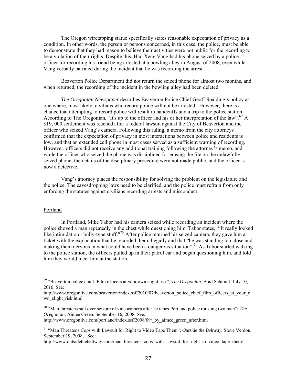The Oregon wiretapping statue specifically states reasonable expectation of privacy as a condition. In other words, the person or persons concerned, in this case, the police, must be able to demonstrate that they had reason to believe their activities were not public for the recording to be a violation of their rights. Despite this, Hao Xeng Vang had his phone seized by a police officer for recording his friend being arrested at a bowling alley in August of 2008, even while Vang verbally narrated during the incident that he was recording the arrest.

Beaverton Police Department did not return the seized phone for almost two months, and when returned, the recording of the incident in the bowling alley had been deleted.

*The Oregonian Newspaper* describes Beaverton Police Chief Geoff Spalding's policy as one where, most likely, civilians who record police will not be arrested. However, there is a chance that attempting to record police will result in handcuffs and a trip to the police station. According to The Oregonian, "It's up to the officer and his or her interpretation of the law".<sup>[69](#page-25-2)</sup> A \$19, 000 settlement was reached after a federal lawsuit against the City of Beaverton and the officer who seized Vang's camera. Following this ruling, a memo from the city attorneys confirmed that the expectation of privacy in most interactions between police and residents is low, and that an extended cell phone in most cases served as a sufficient warning of recording. However, officers did not receive any additional training following the attorney's memo, and while the officer who seized the phone was disciplined for erasing the file on the unlawfully seized phone, the details of the disciplinary procedure were not made public, and the officer is now a detective.

Vang's attorney places the responsibility for solving the problem on the legislature and the police. The eavesdropping laws need to be clarified, and the police must refrain from only enforcing the statutes against civilians recording arrests and misconduct.

#### Portland

 $\overline{a}$ 

In Portland, Mike Tabor had his camera seized while recording an incident where the police shoved a man repeatedly in the chest while questioning him. Tabor states, "It really looked like intimidation - bully-type stuff."<sup>[70](#page-26-0)</sup> After police returned his seized camera, they gave him a ticket with the explanation that he recorded them illegally and that "he was standing too close and making them nervous in what could have been a dangerous situation".<sup>[71](#page-26-1)</sup> As Tabor started walking to the police station, the officers pulled up in their patrol car and began questioning him, and told him they would meet him at the station.

http://www.oregonlive.com/portland/index.ssf/2008/09/ by aimee green after.html

<sup>69 &</sup>quot;Beaverton police chief: Film officers at your own slight risk"; *The Oregonian*. Brad Schmidt, July 10, 2010. See:

http://www.oregonlive.com/beaverton/index.ssf/2010/07/beaverton police chief film officers at your o wn\_slight\_risk.html

<span id="page-26-2"></span><span id="page-26-0"></span><sup>70 &</sup>quot;Man threatens suit over seizure of videocamera after he tapes Portland police rousting two men"; *The Oregonian*, Aimee Green. September 16, 2008. See:

<span id="page-26-1"></span><sup>71 &</sup>quot;Man Threatens Cops with Lawsuit for Right to Video Tape Them"; *Outside the Beltway*, Steve Verdon, September 19, 2008, See:

http://www.outsidethebeltway.com/man\_threatens\_cops\_with\_lawsuit\_for\_right\_to\_video\_tape\_them/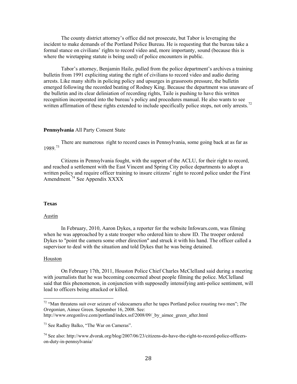The county district attorney's office did not prosecute, but Tabor is leveraging the incident to make demands of the Portland Police Bureau. He is requesting that the bureau take a formal stance on civilians' rights to record video and, more importanty, sound (because this is where the wiretapping statute is being used) of police encounters in public.

Tabor's attorney, Benjamin Haile, pulled from the police department's archives a training bulletin from 1991 expliciting stating the right of civilians to record video and audio during arrests. Like many shifts in policing policy and upsurges in grassroots pressure, the bulletin emerged following the recorded beating of Rodney King. Because the department was unaware of the bulletin and its clear deliniation of recording rights, Taile is pushing to have this written recognition incorporated into the bureau's policy and procedures manual. He also wants to see written affirmation of these rights extended to include specifically police stops, not only arrests.<sup>[72](#page-26-2)</sup>

#### **Pennsylvania** All Party Consent State

There are numerous right to record cases in Pennsylvania, some going back at as far as 1989.[73](#page-27-0)

 Citizens in Pennsylvania fought, with the support of the ACLU, for their right to record, and reached a settlement with the East Vincent and Spring City police departments to adopt a written policy and require officer training to insure citizens' right to record police under the First Amendment.[74](#page-27-1) See Appendix XXXX

# **Texas**

#### Austin

In February, 2010, Aaron Dykes, a reporter for the website Infowars.com, was filming when he was approached by a state trooper who ordered him to show ID. The trooper ordered Dykes to "point the camera some other direction" and struck it with his hand. The officer called a supervisor to deal with the situation and told Dykes that he was being detained.

#### Houston

<span id="page-27-2"></span> $\overline{a}$ 

On February 17th, 2011, Houston Police Chief Charles McClelland said during a meeting with journalists that he was becoming concerned about people filming the police. McClelland said that this phenomenon, in conjunction with supposedly intensifying anti-police sentiment, will lead to officers being attacked or killed.

<sup>72 &</sup>quot;Man threatens suit over seizure of videocamera after he tapes Portland police rousting two men"; *The Oregonian*, Aimee Green. September 16, 2008. See: http://www.oregonlive.com/portland/index.ssf/2008/09/ by aimee green after.html

<span id="page-27-0"></span><sup>&</sup>lt;sup>73</sup> See Radley Balko, "The War on Cameras".

<span id="page-27-1"></span><sup>74</sup> See also: http://www.dvorak.org/blog/2007/06/23/citizens-do-have-the-right-to-record-police-officerson-duty-in-pennsylvania/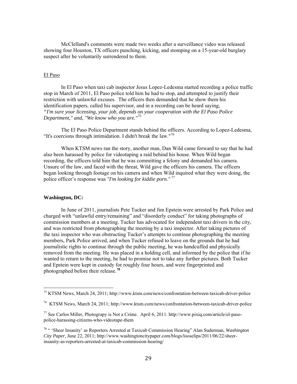McClelland's comments were made two weeks after a surveillance video was released showing four Houston, TX officers punching, kicking, and stomping on a 15-year-old burglary suspect after he voluntarily surrendered to them.

# El Paso

In El Paso when taxi cab inspector Jesus Lopez-Ledesma started recording a police traffic stop in March of 2011, El Paso police told him he had to stop, and attempted to justify their restriction with unlawful excuses. The officers then demanded that he show them his identification papers, called his supervisor, and in a recording can be heard saying, *"I'm sure your licensing, your job, depends on your cooperation with the El Paso Police Department," and, "We know who you are."[75](#page-27-2)*

The El Paso Police Department stands behind the officers. According to Lopez-Ledesma, "It's coercions through intimidation. I didn't break the law."<sup>[76](#page-28-0)</sup>

When KTSM news ran the story, another man, Dan Wild came forward to say that he had also been harassed by police for videotaping a raid behind his house. When Wild began recording, the officers told him that he was committing a felony and demanded his camera. Unsure of the law, and faced with the threat, Wild gave the officers his camera. The officers began looking through footage on his camera and when Wild inquired what they were doing, the police officer's response was *"I'm looking for kiddie porn."* [77](#page-28-1)

# **Washington, DC:**

 $\overline{a}$ 

In June of 2011, journalists Pete Tucker and Jim Epstein were arrested by Park Police and charged with "unlawful entry/remaining" and "disorderly conduct" for taking photographs of commission members at a meeting. Tucker has advocated for independent taxi drivers in the city, and was restricted from photographing the meeting by a taxi inspector. After taking pictures of the taxi inspector who was obstructing Tucker's attempts to continue photographing the meeting members, Park Police arrived, and when Tucker refused to leave on the grounds that he had journalistic rights to continue through the public meeting, he was handcuffed and physically removed from the meeting. He was placed in a holding cell, and informed by the police that if he wanted to return to the meeting, he had to promise not to take any further pictures. Both Tucker and Epstein were kept in custody for roughly four hours, and were fingerprinted and photographed before their release.**[78](#page-28-2)**

<sup>75</sup> KTSM News, March 24, 2011; http://www.ktsm.com/news/confrontation-between-taxicab-driver-police

<span id="page-28-0"></span><sup>76</sup> KTSM News, March 24, 2011; http://www.ktsm.com/news/confrontation-between-taxicab-driver-police

<span id="page-28-3"></span><span id="page-28-1"></span> $^{77}$  See Carlos Miller, Photograpy is Not a Crime. April 6, 2011. http://www.pixiq.com/article/el-pasopolice-harassing-citizens-who-videotape-them

<span id="page-28-2"></span><sup>78 &</sup>quot; 'Sheer Insanity' as Reporters Arrested at Taxicab Commission Hearing" Alan Suderman, *Washington City Paper*, June 22, 2011; http://www.washingtoncitypaper.com/blogs/looselips/2011/06/22/sheerinsanity-as-reporters-arrested-at-taxicab-commission-hearing/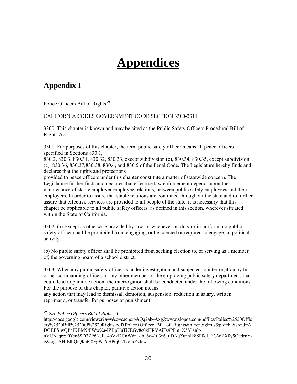# **Appendices**

# **Appendix I**

Police Officers Bill of Rights<sup>[79](#page-28-3)</sup>

# CALIFORNIA CODES GOVERNMENT CODE SECTION 3300-3311

3300. This chapter is known and may be cited as the Public Safety Officers Procedural Bill of Rights Act.

3301. For purposes of this chapter, the term public safety officer means all peace officers specified in Sections 830.1,

830.2, 830.3, 830.31, 830.32, 830.33, except subdivision (e), 830.34, 830.35, except subdivision (c), 830.36, 830.37,830.38, 830.4, and 830.5 of the Penal Code. The Legislature hereby finds and declares that the rights and protections

provided to peace officers under this chapter constitute a matter of statewide concern. The Legislature further finds and declares that effective law enforcement depends upon the maintenance of stable employer-employee relations, between public safety employees and their employers. In order to assure that stable relations are continued throughout the state and to further assure that effective services are provided to all people of the state, it is necessary that this chapter be applicable to all public safety officers, as defined in this section, wherever situated within the State of California.

3302. (a) Except as otherwise provided by law, or whenever on duty or in uniform, no public safety officer shall be prohibited from engaging, or be coerced or required to engage, in political activity.

(b) No public safety officer shall be prohibited from seeking election to, or serving as a member of, the governing board of a school district.

3303. When any public safety officer is under investigation and subjected to interrogation by his or her commanding officer, or any other member of the employing public safety department, that could lead to punitive action, the interrogation shall be conducted under the following conditions. For the purpose of this chapter, punitive action means

any action that may lead to dismissal, demotion, suspension, reduction in salary, written reprimand, or transfer for purposes of punishment.

 $\overline{a}$ 

<sup>79</sup> See *Police Officers Bill of Rights* at:

http://docs.google.com/viewer?a=v&q=cache:pAQq2ah4AxgJ:www.slopoa.com/pdfiles/Police%2520Offic ers%2520Bill%2520of%2520Rights.pdf+Police+Officer+Bill+of+Rights&hl=en&gl=us&pid=bl&srcid=A DGEESiwQPniKBM9tPWwXa-IZBpUuTi7EGv8e0kHRVAiFs4PPm\_X5Ylanlt-

<span id="page-29-0"></span>nVUNaqrp90Ym6SD3ZP6NJE\_4oVxDfJnWdn\_qb\_6q4103z6\_uDAqZun6lk8SP0dl\_EGWZX0y9OedrnYg&sig=AHIEtbQtQkn6f8FgW-YHP6jO2LVrxZzfew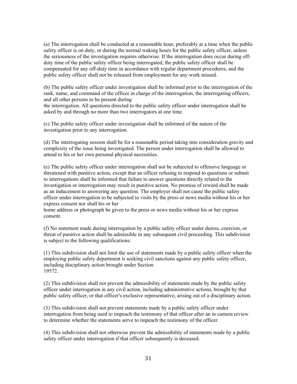(a) The interrogation shall be conducted at a reasonable hour, preferably at a time when the public safety officer is on duty, or during the normal waking hours for the public safety officer, unless the seriousness of the investigation requires otherwise. If the interrogation does occur during offduty time of the public safety officer being interrogated, the public safety officer shall be compensated for any off-duty time in accordance with regular department procedures, and the public safety officer shall not be released from employment for any work missed.

(b) The public safety officer under investigation shall be informed prior to the interrogation of the rank, name, and command of the officer in charge of the interrogation, the interrogating officers, and all other persons to be present during

the interrogation. All questions directed to the public safety officer under interrogation shall be asked by and through no more than two interrogators at one time.

(c) The public safety officer under investigation shall be informed of the nature of the investigation prior to any interrogation.

(d) The interrogating session shall be for a reasonable period taking into consideration gravity and complexity of the issue being investigated. The person under interrogation shall be allowed to attend to his or her own personal physical necessities.

(e) The public safety officer under interrogation shall not be subjected to offensive language or threatened with punitive action, except that an officer refusing to respond to questions or submit to interrogations shall be informed that failure to answer questions directly related to the investigation or interrogation may result in punitive action. No promise of reward shall be made as an inducement to answering any question. The employer shall not cause the public safety officer under interrogation to be subjected to visits by the press or news media without his or her express consent nor shall his or her

home address or photograph be given to the press or news media without his or her express consent.

(f) No statement made during interrogation by a public safety officer under duress, coercion, or threat of punitive action shall be admissible in any subsequent civil proceeding. This subdivision is subject to the following qualifications:

(1) This subdivision shall not limit the use of statements made by a public safety officer when the employing public safety department is seeking civil sanctions against any public safety officer, including disciplinary action brought under Section 19572.

(2) This subdivision shall not prevent the admissibility of statements made by the public safety officer under interrogation in any civil action, including administrative actions, brought by that public safety officer, or that officer's exclusive representative, arising out of a disciplinary action.

(3) This subdivision shall not prevent statements made by a public safety officer under interrogation from being used to impeach the testimony of that officer after an in camera review to determine whether the statements serve to impeach the testimony of the officer.

(4) This subdivision shall not otherwise prevent the admissibility of statements made by a public safety officer under interrogation if that officer subsequently is deceased.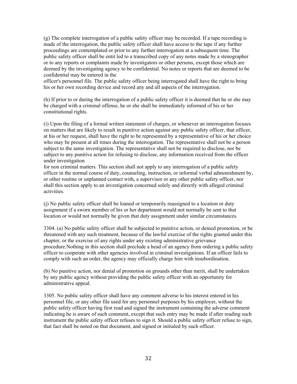(g) The complete interrogation of a public safety officer may be recorded. If a tape recording is made of the interrogation, the public safety officer shall have access to the tape if any further proceedings are contemplated or prior to any further interrogation at a subsequent time. The public safety officer shall be entit led to a transcribed copy of any notes made by a stenographer or to any reports or complaints made by investigators or other persons, except those which are deemed by the investigating agency to be confidential. No notes or reports that are deemed to be confidential may be entered in the

officer's personnel file. The public safety officer being interrogated shall have the right to bring his or her own recording device and record any and all aspects of the interrogation.

(h) If prior to or during the interrogation of a public safety officer it is deemed that he or she may be charged with a criminal offense, he or she shall be immediately informed of his or her constitutional rights.

(i) Upon the filing of a formal written statement of charges, or whenever an interrogation focuses on matters that are likely to result in punitive action against any public safety officer, that officer, at his or her request, shall have the right to be represented by a representative of his or her choice who may be present at all times during the interrogation. The representative shall not be a person subject to the same investigation. The representative shall not be required to disclose, nor be subject to any punitive action for refusing to disclose, any information received from the officer under investigation

for non criminal matters. This section shall not apply to any interrogation of a public safety officer in the normal course of duty, counseling, instruction, or informal verbal admonishment by, or other routine or unplanned contact with, a supervisor or any other public safety officer, nor shall this section apply to an investigation concerned solely and directly with alleged criminal activities.

(j) No public safety officer shall be loaned or temporarily reassigned to a location or duty assignment if a sworn member of his or her department would not normally be sent to that location or would not normally be given that duty assignment under similar circumstances.

3304. (a) No public safety officer shall be subjected to punitive action, or denied promotion, or be threatened with any such treatment, because of the lawful exercise of the rights granted under this chapter, or the exercise of any rights under any existing administrative grievance procedure.Nothing in this section shall preclude a head of an agency from ordering a public safety officer to cooperate with other agencies involved in criminal investigations. If an officer fails to comply with such an order, the agency may officially charge him with insubordination.

(b) No punitive action, nor denial of promotion on grounds other than merit, shall be undertaken by any public agency without providing the public safety officer with an opportunity for administrative appeal.

3305. No public safety officer shall have any comment adverse to his interest entered in his personnel file, or any other file used for any personnel purposes by his employer, without the public safety officer having first read and signed the instrument containing the adverse comment indicating he is aware of such comment, except that such entry may be made if after reading such instrument the public safety officer refuses to sign it. Should a public safety officer refuse to sign, that fact shall be noted on that document, and signed or initialed by such officer.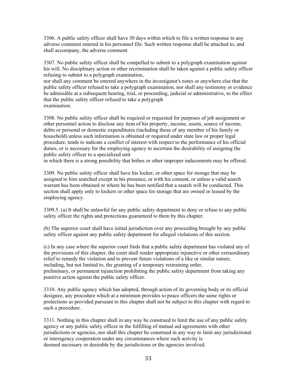3306. A public safety officer shall have 30 days within which to file a written response to any adverse comment entered in his personnel file. Such written response shall be attached to, and shall accompany, the adverse comment.

3307. No public safety officer shall be compelled to submit to a polygraph examination against his will. No disciplinary action or other recrimination shall be taken against a public safety officer refusing to submit to a polygraph examination,

nor shall any comment be entered anywhere in the investigator's notes or anywhere else that the public safety officer refused to take a polygraph examination, nor shall any testimony or evidence be admissible at a subsequent hearing, trial, or proceeding, judicial or administrative, to the effect that the public safety officer refused to take a polygraph examination.

3308. No public safety officer shall be required or requested for purposes of job assignment or other personnel action to disclose any item of his property, income, assets, source of income, debts or personal or domestic expenditures (including those of any member of his family or household) unless such information is obtained or required under state law or proper legal procedure, tends to indicate a conflict of interest with respect to the performance of his official duties, or is necessary for the employing agency to ascertain the desirability of assigning the public safety officer to a specialized unit

in which there is a strong possibility that bribes or other improper inducements may be offered.

3309. No public safety officer shall have his locker, or other space for storage that may be assigned to him searched except in his presence, or with his consent, or unless a valid search warrant has been obtained or where he has been notified that a search will be conducted. This section shall apply only to lockers or other space for storage that are owned or leased by the employing agency.

3309.5. (a) It shall be unlawful for any public safety department to deny or refuse to any public safety officer the rights and protections guaranteed to them by this chapter.

(b) The superior court shall have initial jurisdiction over any proceeding brought by any public safety officer against any public safety department for alleged violations of this section.

(c) In any case where the superior court finds that a public safety department has violated any of the provisions of this chapter, the court shall render appropriate injunctive or other extraordinary relief to remedy the violation and to prevent future violations of a like or similar nature, including, but not limited to, the granting of a temporary restraining order, preliminary, or permanent injunction prohibiting the public safety department from taking any punitive action against the public safety officer.

3310. Any public agency which has adopted, through action of its governing body or its official designee, any procedure which at a minimum provides to peace officers the same rights or protections as provided pursuant to this chapter shall not be subject to this chapter with regard to such a procedure.

3311. Nothing in this chapter shall in any way be construed to limit the use of any public safety agency or any public safety officer in the fulfilling of mutual aid agreements with other jurisdictions or agencies, nor shall this chapter be construed in any way to limit any jurisdictional or interagency cooperation under any circumstances where such activity is deemed necessary or desirable by the jurisdictions or the agencies involved.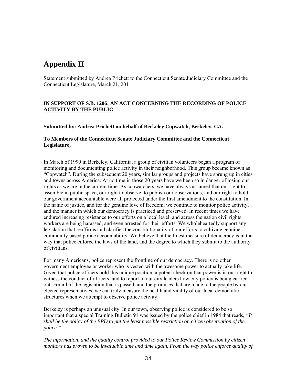# **Appendix II**

Statement submitted by Andrea Prichett to the Connecticut Senate Judiciary Committee and the Connecticut Legislature, March 21, 2011.

# **IN SUPPORT OF S.B. 1206: AN ACT CONCERNING THE RECORDING OF POLICE ACTIVITY BY THE PUBLIC**

# **Submitted by: Andrea Prichett on behalf of Berkeley Copwatch, Berkeley, CA.**

# **To Members of the Connecticut Senate Judiciary Committee and the Connecticut Legislature,**

In March of 1990 in Berkeley, California, a group of civilian volunteers began a program of monitoring and documenting police activity in their neighborhood. This group became known as "Copwatch". During the subsequent 20 years, similar groups and projects have sprung up in cities and towns across America. At no time in those 20 years have we been so in danger of losing our rights as we are in the current time. As copwatchers, we have always assumed that our right to assemble in public space, our right to observe, to publish our observations, and our right to hold our government accountable were all protected under the first amendment to the constitution. In the name of justice, and for the genuine love of freedom, we continue to monitor police activity, and the manner in which our democracy is practiced and preserved. In recent times we have endured increasing resistance to our efforts on a local level, and across the nation civil rights workers are being harassed, and even arrested for their efforts. We wholeheartedly support any legislation that reaffirms and clarifies the constitutionality of our efforts to cultivate genuine community based police accountability. We believe that the truest measure of democracy is in the way that police enforce the laws of the land, and the degree to which they submit to the authority of civilians.

For many Americans, police represent the frontline of our democracy. There is no other government employee or worker who is vested with the awesome power to actually take life. Given that police officers hold this unique position, a potent check on that power is in our right to witness the conduct of officers, and to report to our city leaders how city policy is being carried out. For all of the legislation that is passed, and the promises that are made to the people by our elected representatives, we can truly measure the health and vitality of our local democratic structures when we attempt to observe police activity.

Berkeley is perhaps an unusual city. In our town, observing police is considered to be so important that a special Training Bulletin 91 was issued by the police chief in 1984 that reads, *"It shall be the policy of the BPD to put the least possible restriction on citizen observation of the police."* 

*The information, and the quality control provided to our Police Review Commission by citizen monitors has proven to be invaluable time and time again. From the way police enforce quality of*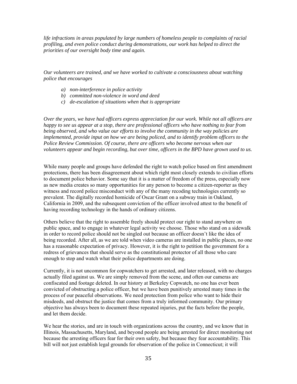*life infractions in areas populated by large numbers of homeless people to complaints of racial profiling, and even police conduct during demonstrations, our work has helped to direct the priorities of our oversight body time and again.* 

*Our volunteers are trained, and we have worked to cultivate a consciousness about watching police that encourages* 

- *a) non-interference in police activity*
- *b) committed non-violence in word and deed*
- *c) de-escalation of situations when that is appropriate*

*Over the years, we have had officers express appreciation for our work. While not all officers are happy to see us appear at a stop, there are professional officers who have nothing to fear from being observed, and who value our efforts to involve the community in the way policies are implemented, provide input on how we are being policed, and to identify problem officers to the Police Review Commission. Of course, there are officers who become nervous when our volunteers appear and begin recording, but over time, officers in the BPD have grown used to us.* 

While many people and groups have defended the right to watch police based on first amendment protections, there has been disagreement about which right most closely extends to civilian efforts to document police behavior. Some say that it is a matter of freedom of the press, especially now as new media creates so many opportunities for any person to become a citizen-reporter as they witness and record police misconduct with any of the many recoding technologies currently so prevalent. The digitally recorded homicide of Oscar Grant on a subway train in Oakland, California in 2009, and the subsequent conviction of the officer involved attest to the benefit of having recording technology in the hands of ordinary citizens.

Others believe that the right to assemble freely should protect our right to stand anywhere on public space, and to engage in whatever legal activity we choose. Those who stand on a sidewalk in order to record police should not be singled out because an officer doesn't like the idea of being recorded. After all, as we are told when video cameras are installed in public places, no one has a reasonable expectation of privacy. However, it is the right to petition the government for a redress of grievances that should serve as the constitutional protector of all those who care enough to stop and watch what their police departments are doing.

Currently, it is not uncommon for copwatchers to get arrested, and later released, with no charges actually filed against us. We are simply removed from the scene, and often our cameras are confiscated and footage deleted. In our history at Berkeley Copwatch, no one has ever been convicted of obstructing a police officer, but we have been punitively arrested many times in the process of our peaceful observations. We need protection from police who want to hide their misdeeds, and obstruct the justice that comes from a truly informed community. Our primary objective has always been to document these repeated injuries, put the facts before the people, and let them decide.

We hear the stories, and are in touch with organizations across the country, and we know that in Illinois, Massachusetts, Maryland, and beyond people are being arrested for direct monitoring not because the arresting officers fear for their own safety, but because they fear accountability. This bill will not just establish legal grounds for observation of the police in Connecticut; it will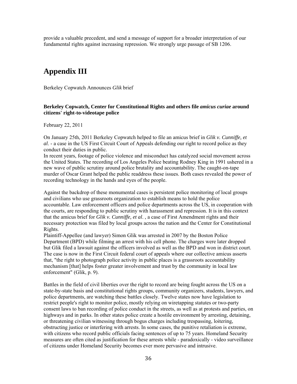provide a valuable precedent, and send a message of support for a broader interpretation of our fundamental rights against increasing repression. We strongly urge passage of SB 1206.

# **Appendix III**

Berkeley Copwatch Announces *Glik* brief

# **Berkeley Copwatch, Center for Constitutional Rights and others file** *amicus curiae* **around citizens' right-to-videotape police**

February 22, 2011

On January 25th, 2011 Berkeley Copwatch helped to file an amicus brief in *Glik v. Cunniffe, et al*. - a case in the US First Circuit Court of Appeals defending our right to record police as they conduct their duties in public.

In recent years, footage of police violence and misconduct has catalyzed social movement across the United States. The recording of Los Angeles Police beating Rodney King in 1991 ushered in a new wave of public scrutiny around police brutality and accountability. The caught-on-tape murder of Oscar Grant helped the public readdress these issues. Both cases revealed the power of recording technology in the hands and eyes of the people.

Against the backdrop of these monumental cases is persistent police monitoring of local groups and civilians who use grassroots organization to establish means to hold the police accountable. Law enforcement officers and police departments across the US, in cooperation with the courts, are responding to public scrutiny with harassment and repression. It is in this context that the amicus brief for *Glik v. Cunniffe, et al*. , a case of First Amendment rights and their necessary protection was filed by local groups across the nation and the Center for Constitutional Rights.

Plaintiff-Appellee (and lawyer) Simon Glik was arrested in 2007 by the Boston Police Department (BPD) while filming an arrest with his cell phone. The charges were later dropped but Glik filed a lawsuit against the officers involved as well as the BPD and won in district court. The case is now in the First Circuit federal court of appeals where our collective amicus asserts that, "the right to photograph police activity in public places is a grassroots accountability mechanism [that] helps foster greater involvement and trust by the community in local law enforcement" (Glik, p. 9).

Battles in the field of civil liberties over the right to record are being fought across the US on a state-by-state basis and constitutional rights groups, community organizers, students, lawyers, and police departments, are watching these battles closely. Twelve states now have legislation to restrict people's right to monitor police, mostly relying on wiretapping statutes or two-party consent laws to ban recording of police conduct in the streets, as well as at protests and parties, on highways and in parks. In other states police create a hostile environment by arresting, detaining, or threatening civilian witnessing through bogus charges including trespassing, loitering, obstructing justice or interfering with arrests. In some cases, the punitive retaliation is extreme, with citizens who record public officials facing sentences of up to 75 years. Homeland Security measures are often cited as justification for these arrests while - paradoxically - video surveillance of citizens under Homeland Security becomes ever more pervasive and intrusive.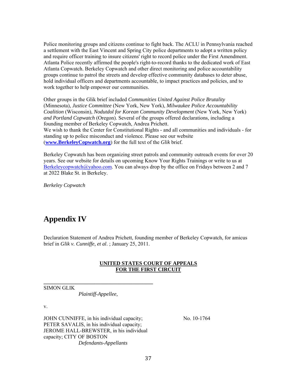Police monitoring groups and citizens continue to fight back. The ACLU in Pennsylvania reached a settlement with the East Vincent and Spring City police departments to adopt a written policy and require officer training to insure citizens' right to record police under the First Amendment. Atlanta Police recently affirmed the people's right-to-record thanks to the dedicated work of East Atlanta Copwatch. Berkeley Copwatch and other direct monitoring and police accountability groups continue to patrol the streets and develop effective community databases to deter abuse, hold individual officers and departments accountable, to impact practices and policies, and to work together to help empower our communities.

Other groups in the Glik brief included *Communities United Against Police Brutality* (Minnesota), *Justice Committee* (New York, New York), *Milwaukee Police Accountability Coalition* (Wisconsin), *Nodutdol for Korean Community Development* (New York, New York) *and Portland Copwatch* (Oregon). Several of the groups offered declarations, including a founding member of Berkeley Copwatch, Andrea Prichett. We wish to thank the Center for Constitutional Rights - and all communities and individuals - for standing up to police misconduct and violence. Please see our website (**[www.BerkeleyCopwatch.org](http://www.berkeleycopwatch.org/)**) for the full text of the *Glik* brief.

Berkeley Copwatch has been organizing street patrols and community outreach events for over 20 years. See our website for details on upcoming Know Your Rights Trainings or write to us at [Berkeleycopwatch@yahoo.com.](http://mc/compose?to=Berkeleycopwatch@yahoo.com) You can always drop by the office on Fridays between 2 and 7 at 2022 Blake St. in Berkeley.

*Berkeley Copwatch* 

# **Appendix IV**

Declaration Statement of Andrea Prichett, founding member of Berkeley Copwatch, for amicus brief in *Glik v. Cunniffe, et al*. ; January 25, 2011.

# **UNITED STATES COURT OF APPEALS FOR THE FIRST CIRCUIT**

SIMON GLIK

*Plaintiff-Appellee,* 

**\_\_\_\_\_\_\_\_\_\_\_\_\_\_\_\_\_\_\_\_\_\_\_\_\_\_\_\_\_\_\_\_\_\_\_\_\_\_\_\_\_** 

v.

JOHN CUNNIFFE, in his individual capacity; No. 10-1764 PETER SAVALIS, in his individual capacity; JEROME HALL-BREWSTER, in his individual capacity; CITY OF BOSTON *Defendants-Appellants*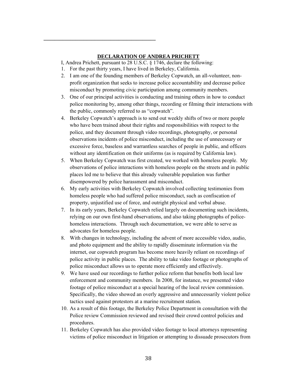# **DECLARATION OF ANDREA PRICHETT**

- I, Andrea Prichett, pursuant to 28 U.S.C. § 1746, declare the following:
- 1. For the past thirty years, I have lived in Berkeley, California.

**\_\_\_\_\_\_\_\_\_\_\_\_\_\_\_\_\_\_\_\_\_\_\_\_\_\_\_\_\_\_\_\_\_\_\_\_\_\_\_\_\_\_** 

- 2. I am one of the founding members of Berkeley Copwatch, an all-volunteer, nonprofit organization that seeks to increase police accountability and decrease police misconduct by promoting civic participation among community members.
- 3. One of our principal activities is conducting and training others in how to conduct police monitoring by, among other things, recording or filming their interactions with the public, commonly referred to as "copwatch".
- 4. Berkeley Copwatch's approach is to send out weekly shifts of two or more people who have been trained about their rights and responsibilities with respect to the police, and they document through video recordings, photography, or personal observations incidents of police misconduct, including the use of unnecessary or excessive force, baseless and warrantless searches of people in public, and officers without any identification on their uniforms (as is required by California law).
- 5. When Berkeley Copwatch was first created, we worked with homeless people. My observations of police interactions with homeless people on the streets and in public places led me to believe that this already vulnerable population was further disempowered by police harassment and misconduct.
- 6. My early activities with Berkeley Copwatch involved collecting testimonies from homeless people who had suffered police misconduct, such as confiscation of property, unjustified use of force, and outright physical and verbal abuse.
- 7. In its early years, Berkeley Copwatch relied largely on documenting such incidents, relying on our own first-hand observations, and also taking photographs of policehomeless interactions. Through such documentation, we were able to serve as advocates for homeless people.
- 8. With changes in technology, including the advent of more accessible video, audio, and photo equipment and the ability to rapidly disseminate information via the internet, our copwatch program has become more heavily reliant on recordings of police activity in public places. The ability to take video footage or photographs of police misconduct allows us to operate more efficiently and effectively.
- 9. We have used our recordings to further police reform that benefits both local law enforcement and community members. In 2008, for instance, we presented video footage of police misconduct at a special hearing of the local review commission. Specifically, the video showed an overly aggressive and unnecessarily violent police tactics used against protestors at a marine recruitment station.
- 10. As a result of this footage, the Berkeley Police Department in consultation with the Police review Commission reviewed and revised their crowd control policies and procedures.
- 11. Berkeley Copwatch has also provided video footage to local attorneys representing victims of police misconduct in litigation or attempting to dissuade prosecutors from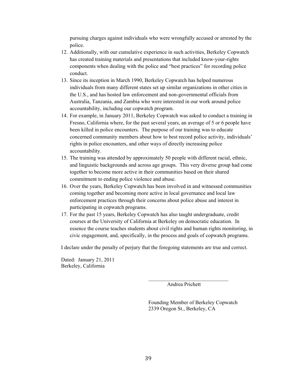pursuing charges against individuals who were wrongfully accused or arrested by the police.

- 12. Additionally, with our cumulative experience in such activities, Berkeley Copwatch has created training materials and presentations that included know-your-rights components when dealing with the police and "best practices" for recording police conduct.
- 13. Since its inception in March 1990, Berkeley Copwatch has helped numerous individuals from many different states set up similar organizations in other cities in the U.S., and has hosted law enforcement and non-governmental officials from Australia, Tanzania, and Zambia who were interested in our work around police accountability, including our copwatch program.
- 14. For example, in January 2011, Berkeley Copwatch was asked to conduct a training in Fresno, California where, for the past several years, an average of 5 or 6 people have been killed in police encounters. The purpose of our training was to educate concerned community members about how to best record police activity, individuals' rights in police encounters, and other ways of directly increasing police accountability.
- 15. The training was attended by approximately 50 people with different racial, ethnic, and linguistic backgrounds and across age groups. This very diverse group had come together to become more active in their communities based on their shared commitment to ending police violence and abuse.
- 16. Over the years, Berkeley Copwatch has been involved in and witnessed communities coming together and becoming more active in local governance and local law enforcement practices through their concerns about police abuse and interest in participating in copwatch programs.
- 17. For the past 15 years, Berkeley Copwatch has also taught undergraduate, credit courses at the University of California at Berkeley on democratic education. In essence the course teaches students about civil rights and human rights monitoring, in civic engagement, and, specifically, in the process and goals of copwatch programs.

I declare under the penalty of perjury that the foregoing statements are true and correct.

Dated: January 21, 2011 Berkeley, California

Andrea Prichett

 Founding Member of Berkeley Copwatch 2339 Oregon St., Berkeley, CA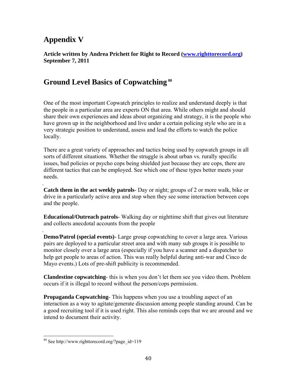# **Appendix V**

.

.

 $\overline{a}$ 

**Article written by Andrea Prichett for Right to Record ([www.righttorecord.org](http://www.righttorecord.org/)) September 7, 2011** 

# **Ground Level Basics of Copwatching [80](#page-29-0)**

One of the most important Copwatch principles to realize and understand deeply is that the people in a particular area are experts ON that area. While others might and should share their own experiences and ideas about organizing and strategy, it is the people who have grown up in the neighborhood and live under a certain policing style who are in a very strategic position to understand, assess and lead the efforts to watch the police locally.

There are a great variety of approaches and tactics being used by copwatch groups in all sorts of different situations. Whether the struggle is about urban vs. rurally specific issues, bad policies or psycho cops being shielded just because they are cops, there are different tactics that can be employed. See which one of these types better meets your needs.

**Catch them in the act weekly patrols**- Day or night; groups of 2 or more walk, bike or drive in a particularly active area and stop when they see some interaction between cops and the people.

**Educational/Outreach patrols**- Walking day or nighttime shift that gives out literature and collects anecdotal accounts from the people

**Demo/Patrol (special events)-** Large group copwatching to cover a large area. Various pairs are deployed to a particular street area and with many sub groups it is possible to monitor closely over a large area (especially if you have a scanner and a dispatcher to help get people to areas of action. This was really helpful during anti-war and Cinco de Mayo events.) Lots of pre-shift publicity is recommended.

**Clandestine copwatching**- this is when you don't let them see you video them. Problem occurs if it is illegal to record without the person/cops permission.

**Propaganda Copwatching**- This happens when you use a troubling aspect of an interaction as a way to agitate/generate discussion among people standing around. Can be a good recruiting tool if it is used right. This also reminds cops that we are around and we intend to document their activity.

<sup>80</sup> See http://www.righttorecord.org/?page\_id=119